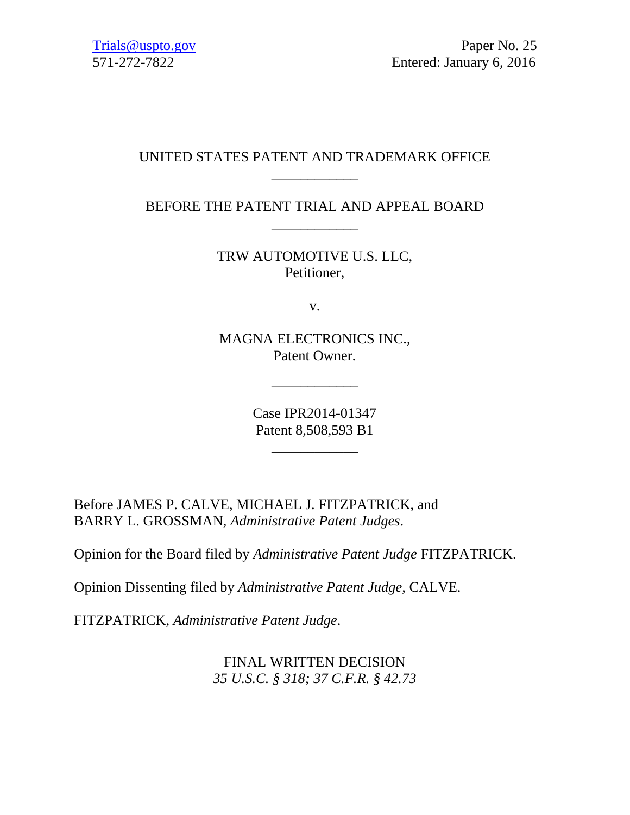# UNITED STATES PATENT AND TRADEMARK OFFICE \_\_\_\_\_\_\_\_\_\_\_\_

BEFORE THE PATENT TRIAL AND APPEAL BOARD \_\_\_\_\_\_\_\_\_\_\_\_

> TRW AUTOMOTIVE U.S. LLC, Petitioner,

> > v.

MAGNA ELECTRONICS INC., Patent Owner.

\_\_\_\_\_\_\_\_\_\_\_\_

Case IPR2014-01347 Patent 8,508,593 B1

\_\_\_\_\_\_\_\_\_\_\_\_

Before JAMES P. CALVE, MICHAEL J. FITZPATRICK, and BARRY L. GROSSMAN, *Administrative Patent Judges*.

Opinion for the Board filed by *Administrative Patent Judge* FITZPATRICK.

Opinion Dissenting filed by *Administrative Patent Judge*, CALVE.

FITZPATRICK, *Administrative Patent Judge*.

FINAL WRITTEN DECISION *35 U.S.C. § 318; 37 C.F.R. § 42.73*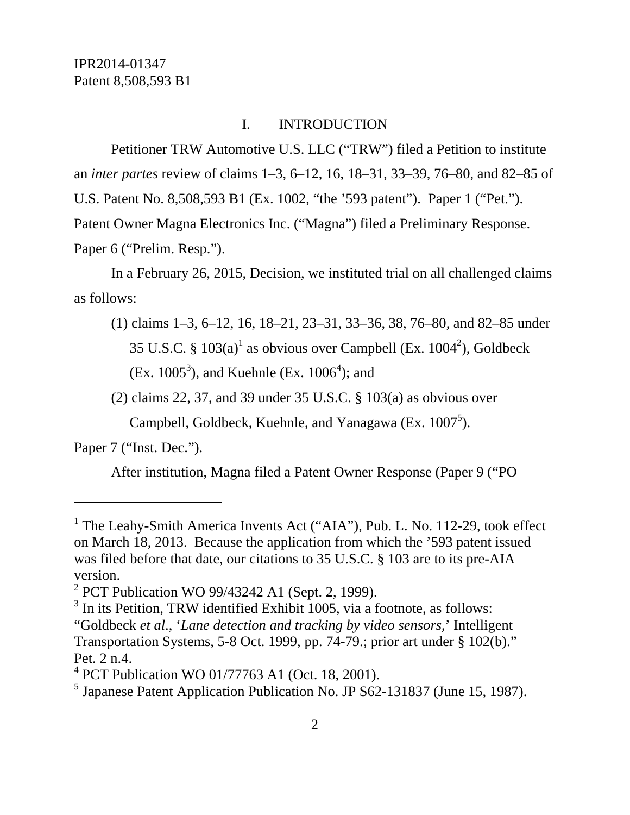## I. INTRODUCTION

Petitioner TRW Automotive U.S. LLC ("TRW") filed a Petition to institute an *inter partes* review of claims 1–3, 6–12, 16, 18–31, 33–39, 76–80, and 82–85 of U.S. Patent No. 8,508,593 B1 (Ex. 1002, "the '593 patent"). Paper 1 ("Pet."). Patent Owner Magna Electronics Inc. ("Magna") filed a Preliminary Response. Paper 6 ("Prelim. Resp.").

In a February 26, 2015, Decision, we instituted trial on all challenged claims as follows:

(1) claims 1–3, 6–12, 16, 18–21, 23–31, 33–36, 38, 76–80, and 82–85 under 35 U.S.C. §  $103(a)^1$  as obvious over Campbell (Ex.  $1004^2$ ), Goldbeck (Ex. 1005<sup>3</sup>), and Kuehnle (Ex. 1006<sup>4</sup>); and

(2) claims 22, 37, and 39 under 35 U.S.C. § 103(a) as obvious over

Campbell, Goldbeck, Kuehnle, and Yanagawa (Ex.  $1007^5$ ).

Paper 7 ("Inst. Dec.").

 $\overline{a}$ 

After institution, Magna filed a Patent Owner Response (Paper 9 ("PO

<sup>&</sup>lt;sup>1</sup> The Leahy-Smith America Invents Act ("AIA"), Pub. L. No. 112-29, took effect on March 18, 2013. Because the application from which the '593 patent issued was filed before that date, our citations to 35 U.S.C. § 103 are to its pre-AIA version.

<sup>&</sup>lt;sup>2</sup> PCT Publication WO 99/43242 A1 (Sept. 2, 1999).

 $3$  In its Petition, TRW identified Exhibit 1005, via a footnote, as follows:

<sup>&</sup>quot;Goldbeck *et al*., '*Lane detection and tracking by video sensors*,' Intelligent Transportation Systems, 5-8 Oct. 1999, pp. 74-79.; prior art under § 102(b)." Pet. 2 n.4.

<sup>4</sup> PCT Publication WO 01/77763 A1 (Oct. 18, 2001).

<sup>&</sup>lt;sup>5</sup> Japanese Patent Application Publication No. JP S62-131837 (June 15, 1987).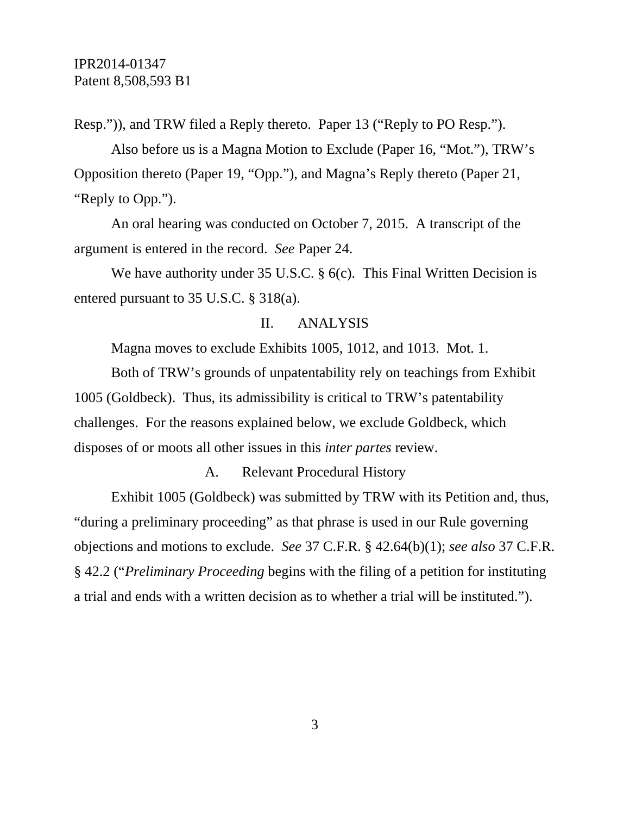Resp.")), and TRW filed a Reply thereto. Paper 13 ("Reply to PO Resp.").

Also before us is a Magna Motion to Exclude (Paper 16, "Mot."), TRW's Opposition thereto (Paper 19, "Opp."), and Magna's Reply thereto (Paper 21, "Reply to Opp.").

An oral hearing was conducted on October 7, 2015. A transcript of the argument is entered in the record. *See* Paper 24.

We have authority under 35 U.S.C. § 6(c). This Final Written Decision is entered pursuant to 35 U.S.C. § 318(a).

### II. ANALYSIS

Magna moves to exclude Exhibits 1005, 1012, and 1013. Mot. 1.

Both of TRW's grounds of unpatentability rely on teachings from Exhibit 1005 (Goldbeck). Thus, its admissibility is critical to TRW's patentability challenges. For the reasons explained below, we exclude Goldbeck, which disposes of or moots all other issues in this *inter partes* review.

A. Relevant Procedural History

Exhibit 1005 (Goldbeck) was submitted by TRW with its Petition and, thus, "during a preliminary proceeding" as that phrase is used in our Rule governing objections and motions to exclude. *See* 37 C.F.R. § 42.64(b)(1); *see also* 37 C.F.R. § 42.2 ("*Preliminary Proceeding* begins with the filing of a petition for instituting a trial and ends with a written decision as to whether a trial will be instituted.").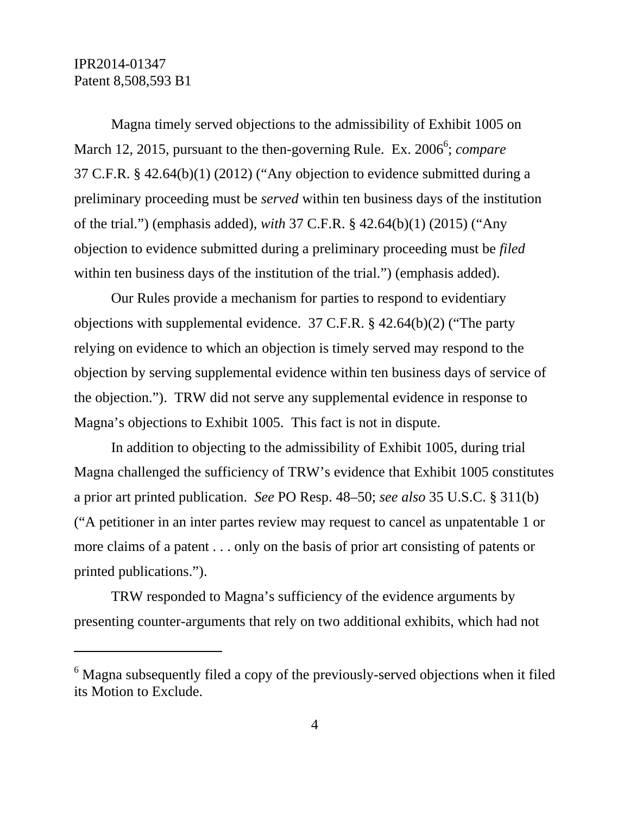$\overline{a}$ 

Magna timely served objections to the admissibility of Exhibit 1005 on March 12, 2015, pursuant to the then-governing Rule. Ex. 2006<sup>6</sup>; *compare* 37 C.F.R. § 42.64(b)(1) (2012) ("Any objection to evidence submitted during a preliminary proceeding must be *served* within ten business days of the institution of the trial.") (emphasis added), *with* 37 C.F.R. § 42.64(b)(1) (2015) ("Any objection to evidence submitted during a preliminary proceeding must be *filed* within ten business days of the institution of the trial.") (emphasis added).

Our Rules provide a mechanism for parties to respond to evidentiary objections with supplemental evidence. 37 C.F.R. § 42.64(b)(2) ("The party relying on evidence to which an objection is timely served may respond to the objection by serving supplemental evidence within ten business days of service of the objection."). TRW did not serve any supplemental evidence in response to Magna's objections to Exhibit 1005. This fact is not in dispute.

In addition to objecting to the admissibility of Exhibit 1005, during trial Magna challenged the sufficiency of TRW's evidence that Exhibit 1005 constitutes a prior art printed publication. *See* PO Resp. 48–50; *see also* 35 U.S.C. § 311(b) ("A petitioner in an inter partes review may request to cancel as unpatentable 1 or more claims of a patent . . . only on the basis of prior art consisting of patents or printed publications.").

TRW responded to Magna's sufficiency of the evidence arguments by presenting counter-arguments that rely on two additional exhibits, which had not

 $6$  Magna subsequently filed a copy of the previously-served objections when it filed its Motion to Exclude.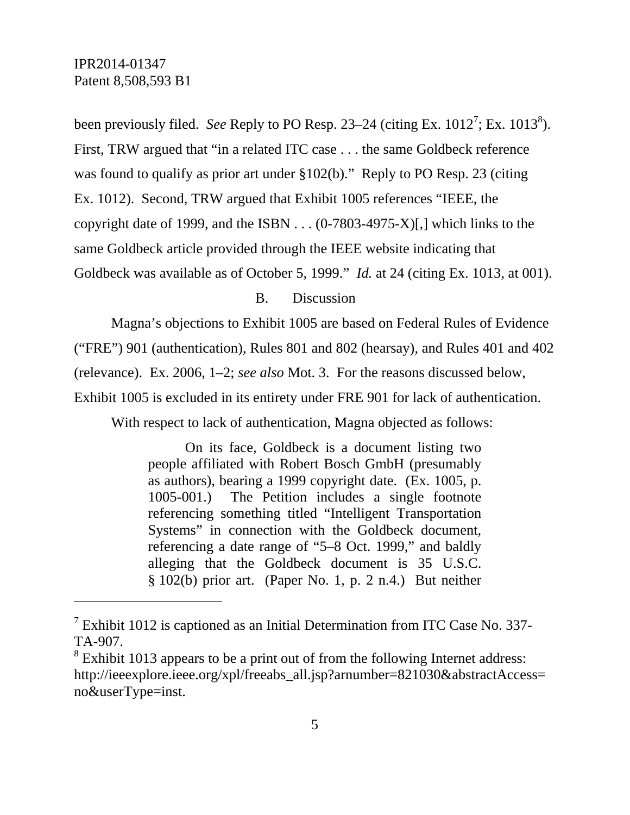l

been previously filed. *See* Reply to PO Resp. 23–24 (citing Ex.  $1012^7$ ; Ex.  $1013^8$ ). First, TRW argued that "in a related ITC case . . . the same Goldbeck reference was found to qualify as prior art under §102(b)." Reply to PO Resp. 23 (citing Ex. 1012). Second, TRW argued that Exhibit 1005 references "IEEE, the copyright date of 1999, and the ISBN  $\ldots$  (0-7803-4975-X)[,] which links to the same Goldbeck article provided through the IEEE website indicating that Goldbeck was available as of October 5, 1999." *Id.* at 24 (citing Ex. 1013, at 001).

### B. Discussion

Magna's objections to Exhibit 1005 are based on Federal Rules of Evidence

("FRE") 901 (authentication), Rules 801 and 802 (hearsay), and Rules 401 and 402

(relevance). Ex. 2006, 1–2; *see also* Mot. 3. For the reasons discussed below,

Exhibit 1005 is excluded in its entirety under FRE 901 for lack of authentication.

With respect to lack of authentication, Magna objected as follows:

On its face, Goldbeck is a document listing two people affiliated with Robert Bosch GmbH (presumably as authors), bearing a 1999 copyright date. (Ex. 1005, p. 1005-001.) The Petition includes a single footnote referencing something titled "Intelligent Transportation Systems" in connection with the Goldbeck document, referencing a date range of "5–8 Oct. 1999," and baldly alleging that the Goldbeck document is 35 U.S.C. § 102(b) prior art. (Paper No. 1, p. 2 n.4.) But neither

<sup>&</sup>lt;sup>7</sup> Exhibit 1012 is captioned as an Initial Determination from ITC Case No. 337-TA-907.

 $8$  Exhibit 1013 appears to be a print out of from the following Internet address: http://ieeexplore.ieee.org/xpl/freeabs\_all.jsp?arnumber=821030&abstractAccess= no&userType=inst.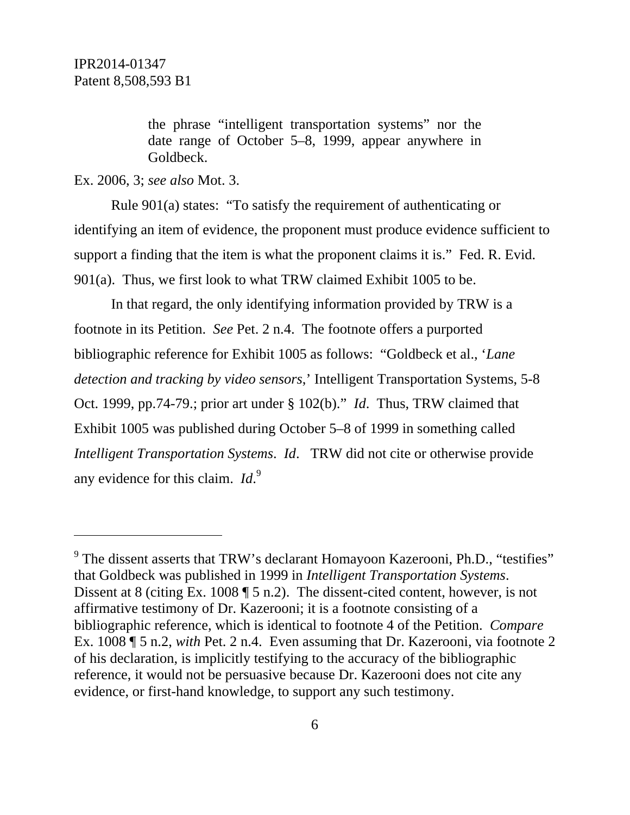the phrase "intelligent transportation systems" nor the date range of October 5–8, 1999, appear anywhere in Goldbeck.

Ex. 2006, 3; *see also* Mot. 3.

Rule 901(a) states: "To satisfy the requirement of authenticating or identifying an item of evidence, the proponent must produce evidence sufficient to support a finding that the item is what the proponent claims it is." Fed. R. Evid. 901(a). Thus, we first look to what TRW claimed Exhibit 1005 to be.

In that regard, the only identifying information provided by TRW is a footnote in its Petition. *See* Pet. 2 n.4. The footnote offers a purported bibliographic reference for Exhibit 1005 as follows: "Goldbeck et al., '*Lane detection and tracking by video sensors*,' Intelligent Transportation Systems, 5-8 Oct. 1999, pp.74-79.; prior art under § 102(b)." *Id*. Thus, TRW claimed that Exhibit 1005 was published during October 5–8 of 1999 in something called *Intelligent Transportation Systems*. *Id*. TRW did not cite or otherwise provide any evidence for this claim. *Id*.<sup>9</sup>

<sup>&</sup>lt;sup>9</sup> The dissent asserts that TRW's declarant Homayoon Kazerooni, Ph.D., "testifies" that Goldbeck was published in 1999 in *Intelligent Transportation Systems*. Dissent at 8 (citing Ex. 1008 ¶ 5 n.2). The dissent-cited content, however, is not affirmative testimony of Dr. Kazerooni; it is a footnote consisting of a bibliographic reference, which is identical to footnote 4 of the Petition. *Compare* Ex. 1008 ¶ 5 n.2, *with* Pet. 2 n.4. Even assuming that Dr. Kazerooni, via footnote 2 of his declaration, is implicitly testifying to the accuracy of the bibliographic reference, it would not be persuasive because Dr. Kazerooni does not cite any evidence, or first-hand knowledge, to support any such testimony.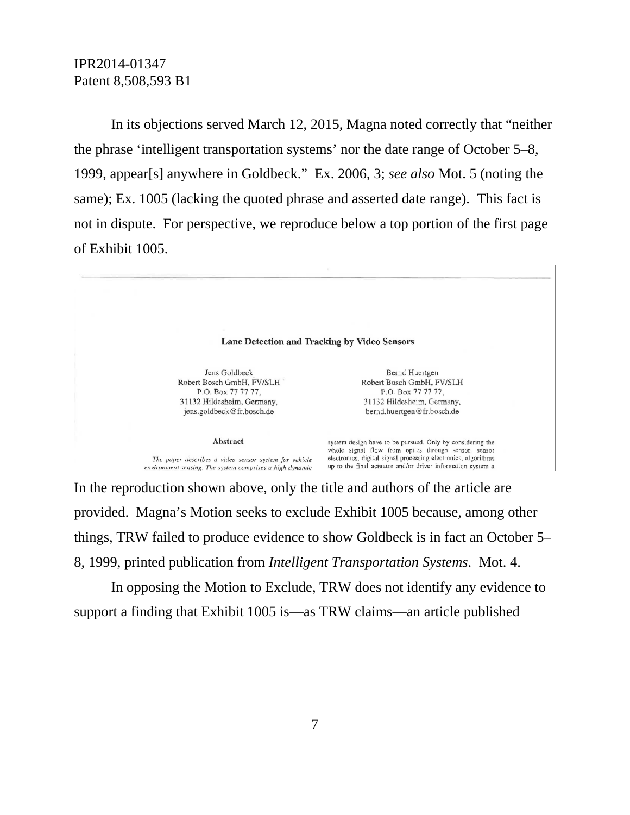In its objections served March 12, 2015, Magna noted correctly that "neither the phrase 'intelligent transportation systems' nor the date range of October 5–8, 1999, appear[s] anywhere in Goldbeck." Ex. 2006, 3; *see also* Mot. 5 (noting the same); Ex. 1005 (lacking the quoted phrase and asserted date range). This fact is not in dispute. For perspective, we reproduce below a top portion of the first page of Exhibit 1005.



In the reproduction shown above, only the title and authors of the article are provided. Magna's Motion seeks to exclude Exhibit 1005 because, among other things, TRW failed to produce evidence to show Goldbeck is in fact an October 5– 8, 1999, printed publication from *Intelligent Transportation Systems*. Mot. 4.

In opposing the Motion to Exclude, TRW does not identify any evidence to support a finding that Exhibit 1005 is—as TRW claims—an article published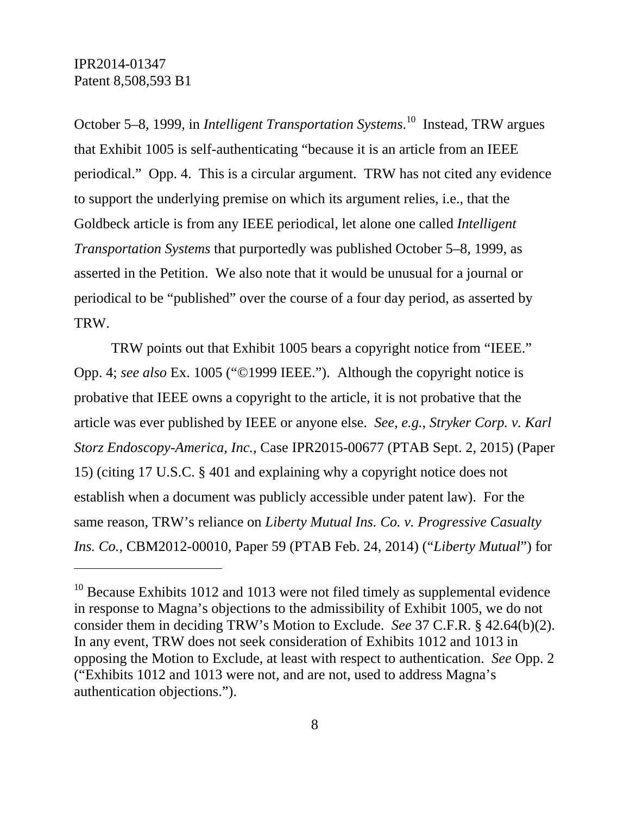-

October 5–8, 1999, in *Intelligent Transportation Systems*. 10 Instead, TRW argues that Exhibit 1005 is self-authenticating "because it is an article from an IEEE periodical." Opp. 4. This is a circular argument. TRW has not cited any evidence to support the underlying premise on which its argument relies, i.e., that the Goldbeck article is from any IEEE periodical, let alone one called *Intelligent Transportation Systems* that purportedly was published October 5–8, 1999, as asserted in the Petition. We also note that it would be unusual for a journal or periodical to be "published" over the course of a four day period, as asserted by TRW.

TRW points out that Exhibit 1005 bears a copyright notice from "IEEE." Opp. 4; *see also* Ex. 1005 ("©1999 IEEE."). Although the copyright notice is probative that IEEE owns a copyright to the article, it is not probative that the article was ever published by IEEE or anyone else. *See, e.g.*, *Stryker Corp. v. Karl Storz Endoscopy-America, Inc.*, Case IPR2015-00677 (PTAB Sept. 2, 2015) (Paper 15) (citing 17 U.S.C. § 401 and explaining why a copyright notice does not establish when a document was publicly accessible under patent law). For the same reason, TRW's reliance on *Liberty Mutual Ins. Co. v. Progressive Casualty Ins. Co.*, CBM2012-00010, Paper 59 (PTAB Feb. 24, 2014) ("*Liberty Mutual*") for

 $10$  Because Exhibits 1012 and 1013 were not filed timely as supplemental evidence in response to Magna's objections to the admissibility of Exhibit 1005, we do not consider them in deciding TRW's Motion to Exclude. *See* 37 C.F.R. § 42.64(b)(2). In any event, TRW does not seek consideration of Exhibits 1012 and 1013 in opposing the Motion to Exclude, at least with respect to authentication. *See* Opp. 2 ("Exhibits 1012 and 1013 were not, and are not, used to address Magna's authentication objections.").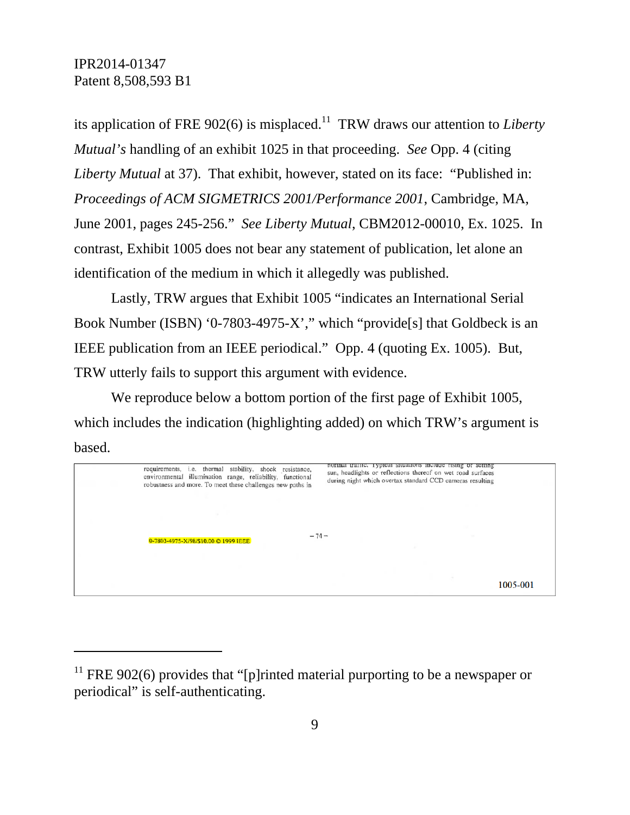its application of FRE 902(6) is misplaced.<sup>11</sup> TRW draws our attention to *Liberty Mutual's* handling of an exhibit 1025 in that proceeding. *See* Opp. 4 (citing *Liberty Mutual* at 37). That exhibit, however, stated on its face: "Published in: *Proceedings of ACM SIGMETRICS 2001/Performance 2001*, Cambridge, MA, June 2001, pages 245-256." *See Liberty Mutual*, CBM2012-00010, Ex. 1025. In contrast, Exhibit 1005 does not bear any statement of publication, let alone an identification of the medium in which it allegedly was published.

Lastly, TRW argues that Exhibit 1005 "indicates an International Serial Book Number (ISBN) '0-7803-4975-X'," which "provide[s] that Goldbeck is an IEEE publication from an IEEE periodical." Opp. 4 (quoting Ex. 1005). But, TRW utterly fails to support this argument with evidence.

We reproduce below a bottom portion of the first page of Exhibit 1005, which includes the indication (highlighting added) on which TRW's argument is based.

| requirements, i.e. thermal stability, shock resistance,<br>environmental illumination range, reliability, functional<br>robustness and more. To meet these challenges new paths in |        | normal traine. Typical situations include rising or setting<br>sun, headlights or reflections thereof on wet road surfaces<br>during night which overtax standard CCD cameras resulting |
|------------------------------------------------------------------------------------------------------------------------------------------------------------------------------------|--------|-----------------------------------------------------------------------------------------------------------------------------------------------------------------------------------------|
|                                                                                                                                                                                    |        |                                                                                                                                                                                         |
| 0-7803-4975-X/98/\$10.00 C 1999 IEEE                                                                                                                                               | $-74-$ |                                                                                                                                                                                         |
|                                                                                                                                                                                    |        |                                                                                                                                                                                         |
|                                                                                                                                                                                    |        | 1005-001                                                                                                                                                                                |

<sup>&</sup>lt;sup>11</sup> FRE 902(6) provides that "[p]rinted material purporting to be a newspaper or periodical" is self-authenticating.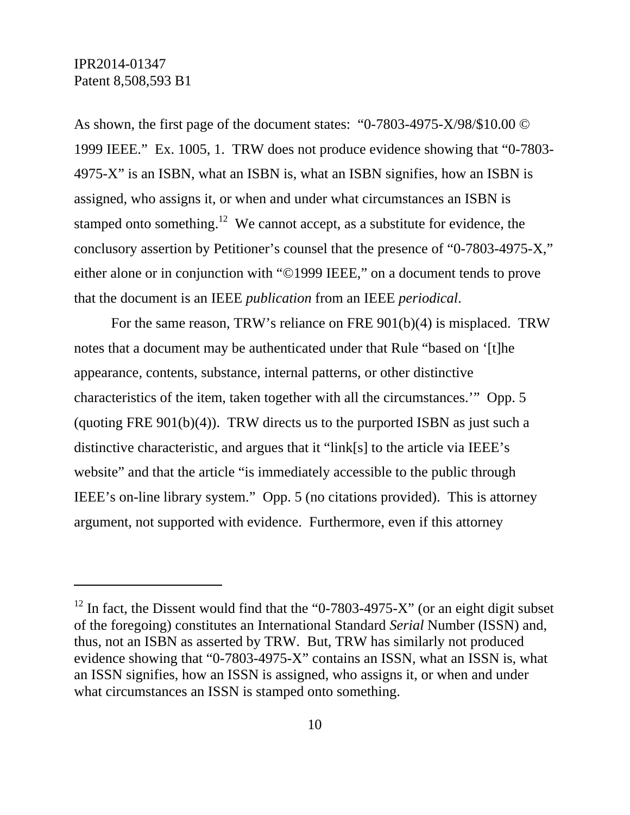-

As shown, the first page of the document states: "0-7803-4975-X/98/\$10.00 © 1999 IEEE." Ex. 1005, 1. TRW does not produce evidence showing that "0-7803- 4975-X" is an ISBN, what an ISBN is, what an ISBN signifies, how an ISBN is assigned, who assigns it, or when and under what circumstances an ISBN is stamped onto something.<sup>12</sup> We cannot accept, as a substitute for evidence, the conclusory assertion by Petitioner's counsel that the presence of "0-7803-4975-X," either alone or in conjunction with "©1999 IEEE," on a document tends to prove that the document is an IEEE *publication* from an IEEE *periodical*.

For the same reason, TRW's reliance on FRE 901(b)(4) is misplaced. TRW notes that a document may be authenticated under that Rule "based on '[t]he appearance, contents, substance, internal patterns, or other distinctive characteristics of the item, taken together with all the circumstances.'" Opp. 5 (quoting FRE  $901(b)(4)$ ). TRW directs us to the purported ISBN as just such a distinctive characteristic, and argues that it "link[s] to the article via IEEE's website" and that the article "is immediately accessible to the public through IEEE's on-line library system." Opp. 5 (no citations provided). This is attorney argument, not supported with evidence. Furthermore, even if this attorney

 $12$  In fact, the Dissent would find that the "0-7803-4975-X" (or an eight digit subset of the foregoing) constitutes an International Standard *Serial* Number (ISSN) and, thus, not an ISBN as asserted by TRW. But, TRW has similarly not produced evidence showing that "0-7803-4975-X" contains an ISSN, what an ISSN is, what an ISSN signifies, how an ISSN is assigned, who assigns it, or when and under what circumstances an ISSN is stamped onto something.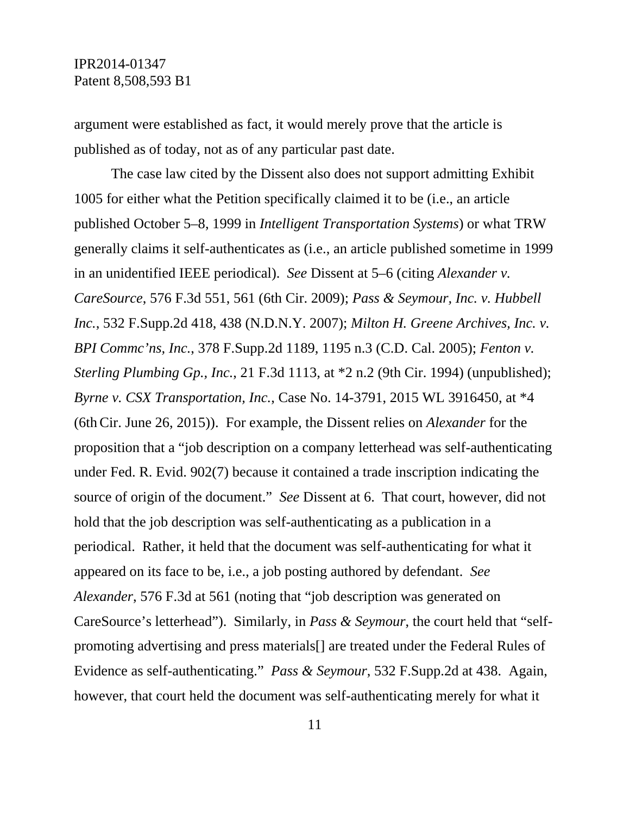argument were established as fact, it would merely prove that the article is published as of today, not as of any particular past date.

The case law cited by the Dissent also does not support admitting Exhibit 1005 for either what the Petition specifically claimed it to be (i.e., an article published October 5–8, 1999 in *Intelligent Transportation Systems*) or what TRW generally claims it self-authenticates as (i.e., an article published sometime in 1999 in an unidentified IEEE periodical). *See* Dissent at 5–6 (citing *Alexander v. CareSource*, 576 F.3d 551, 561 (6th Cir. 2009); *Pass & Seymour, Inc. v. Hubbell Inc.*, 532 F.Supp.2d 418, 438 (N.D.N.Y. 2007); *Milton H. Greene Archives, Inc. v. BPI Commc'ns, Inc.*, 378 F.Supp.2d 1189, 1195 n.3 (C.D. Cal. 2005); *Fenton v. Sterling Plumbing Gp., Inc.*, 21 F.3d 1113, at \*2 n.2 (9th Cir. 1994) (unpublished); *Byrne v. CSX Transportation, Inc.*, Case No. 14-3791, 2015 WL 3916450, at \*4 (6thCir. June 26, 2015)). For example, the Dissent relies on *Alexander* for the proposition that a "job description on a company letterhead was self-authenticating under Fed. R. Evid. 902(7) because it contained a trade inscription indicating the source of origin of the document." *See* Dissent at 6. That court, however, did not hold that the job description was self-authenticating as a publication in a periodical. Rather, it held that the document was self-authenticating for what it appeared on its face to be, i.e., a job posting authored by defendant. *See Alexander*, 576 F.3d at 561 (noting that "job description was generated on CareSource's letterhead"). Similarly, in *Pass & Seymour*, the court held that "selfpromoting advertising and press materials[] are treated under the Federal Rules of Evidence as self-authenticating." *Pass & Seymour*, 532 F.Supp.2d at 438. Again, however, that court held the document was self-authenticating merely for what it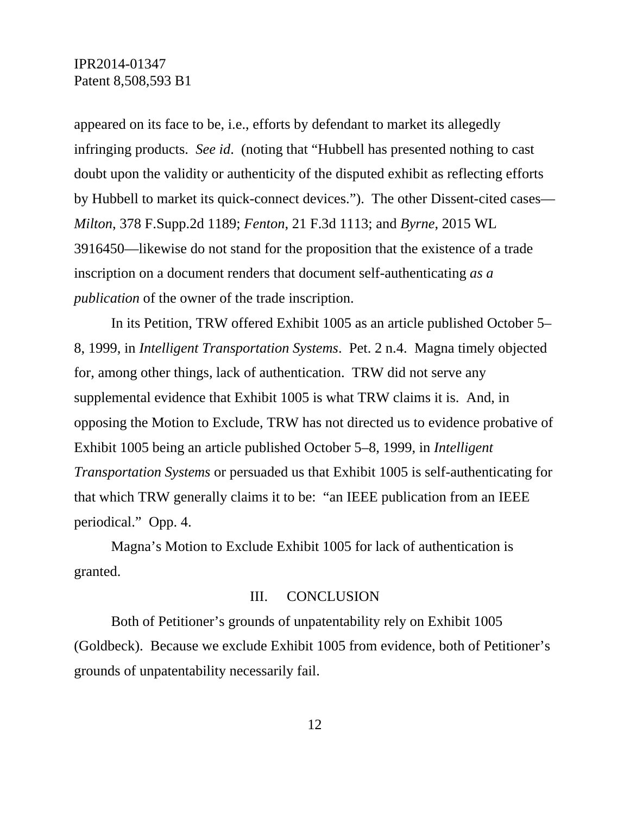appeared on its face to be, i.e., efforts by defendant to market its allegedly infringing products. *See id*. (noting that "Hubbell has presented nothing to cast doubt upon the validity or authenticity of the disputed exhibit as reflecting efforts by Hubbell to market its quick-connect devices."). The other Dissent-cited cases— *Milton*, 378 F.Supp.2d 1189; *Fenton*, 21 F.3d 1113; and *Byrne*, 2015 WL 3916450—likewise do not stand for the proposition that the existence of a trade inscription on a document renders that document self-authenticating *as a publication* of the owner of the trade inscription.

In its Petition, TRW offered Exhibit 1005 as an article published October 5– 8, 1999, in *Intelligent Transportation Systems*. Pet. 2 n.4. Magna timely objected for, among other things, lack of authentication. TRW did not serve any supplemental evidence that Exhibit 1005 is what TRW claims it is. And, in opposing the Motion to Exclude, TRW has not directed us to evidence probative of Exhibit 1005 being an article published October 5–8, 1999, in *Intelligent Transportation Systems* or persuaded us that Exhibit 1005 is self-authenticating for that which TRW generally claims it to be: "an IEEE publication from an IEEE periodical." Opp. 4.

Magna's Motion to Exclude Exhibit 1005 for lack of authentication is granted.

### III. CONCLUSION

Both of Petitioner's grounds of unpatentability rely on Exhibit 1005 (Goldbeck). Because we exclude Exhibit 1005 from evidence, both of Petitioner's grounds of unpatentability necessarily fail.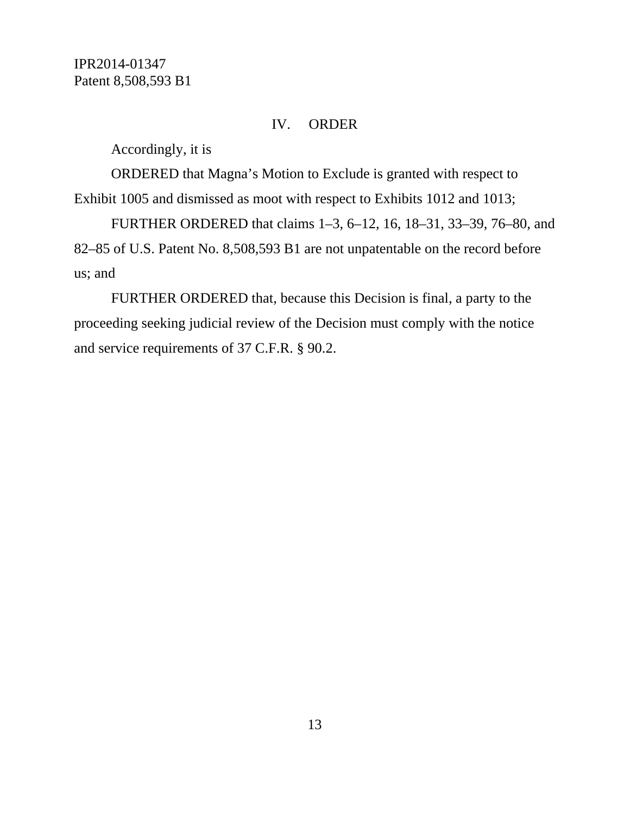#### IV. ORDER

Accordingly, it is

ORDERED that Magna's Motion to Exclude is granted with respect to Exhibit 1005 and dismissed as moot with respect to Exhibits 1012 and 1013;

FURTHER ORDERED that claims 1–3, 6–12, 16, 18–31, 33–39, 76–80, and 82–85 of U.S. Patent No. 8,508,593 B1 are not unpatentable on the record before us; and

FURTHER ORDERED that, because this Decision is final, a party to the proceeding seeking judicial review of the Decision must comply with the notice and service requirements of 37 C.F.R. § 90.2.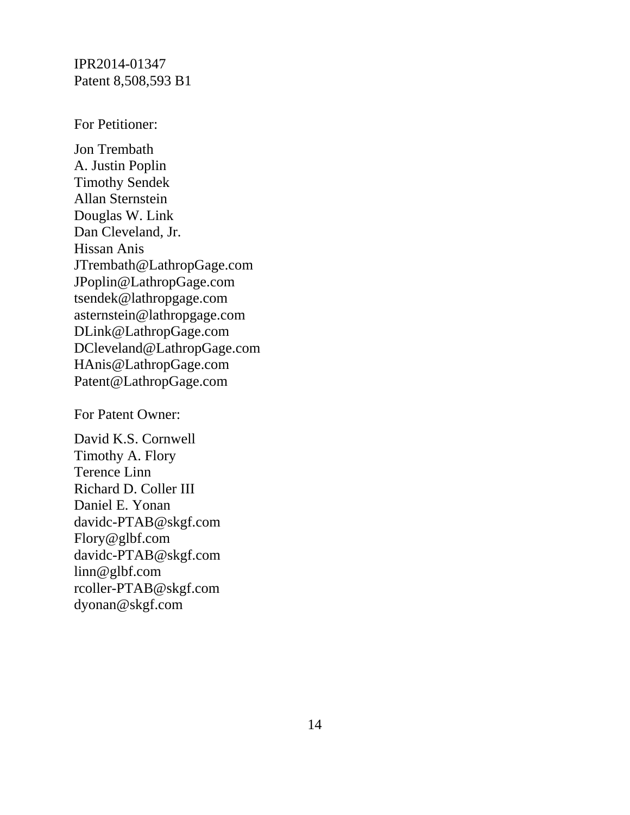For Petitioner:

Jon Trembath A. Justin Poplin Timothy Sendek Allan Sternstein Douglas W. Link Dan Cleveland, Jr. Hissan Anis JTrembath@LathropGage.com JPoplin@LathropGage.com tsendek@lathropgage.com asternstein@lathropgage.com DLink@LathropGage.com DCleveland@LathropGage.com HAnis@LathropGage.com Patent@LathropGage.com

For Patent Owner:

David K.S. Cornwell Timothy A. Flory Terence Linn Richard D. Coller III Daniel E. Yonan davidc-PTAB@skgf.com Flory@glbf.com davidc-PTAB@skgf.com linn@glbf.com rcoller-PTAB@skgf.com dyonan@skgf.com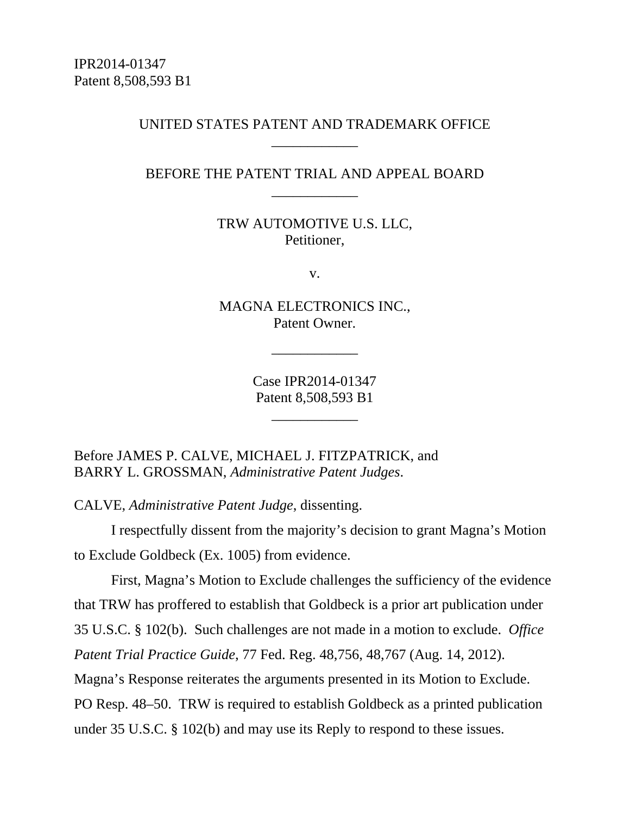## UNITED STATES PATENT AND TRADEMARK OFFICE \_\_\_\_\_\_\_\_\_\_\_\_

## BEFORE THE PATENT TRIAL AND APPEAL BOARD \_\_\_\_\_\_\_\_\_\_\_\_

TRW AUTOMOTIVE U.S. LLC, Petitioner,

v.

MAGNA ELECTRONICS INC., Patent Owner.

\_\_\_\_\_\_\_\_\_\_\_\_

Case IPR2014-01347 Patent 8,508,593 B1

\_\_\_\_\_\_\_\_\_\_\_\_

Before JAMES P. CALVE, MICHAEL J. FITZPATRICK, and BARRY L. GROSSMAN, *Administrative Patent Judges*.

CALVE, *Administrative Patent Judge*, dissenting.

I respectfully dissent from the majority's decision to grant Magna's Motion to Exclude Goldbeck (Ex. 1005) from evidence.

First, Magna's Motion to Exclude challenges the sufficiency of the evidence that TRW has proffered to establish that Goldbeck is a prior art publication under 35 U.S.C. § 102(b). Such challenges are not made in a motion to exclude. *Office Patent Trial Practice Guide*, 77 Fed. Reg. 48,756, 48,767 (Aug. 14, 2012). Magna's Response reiterates the arguments presented in its Motion to Exclude. PO Resp. 48–50. TRW is required to establish Goldbeck as a printed publication under 35 U.S.C. § 102(b) and may use its Reply to respond to these issues.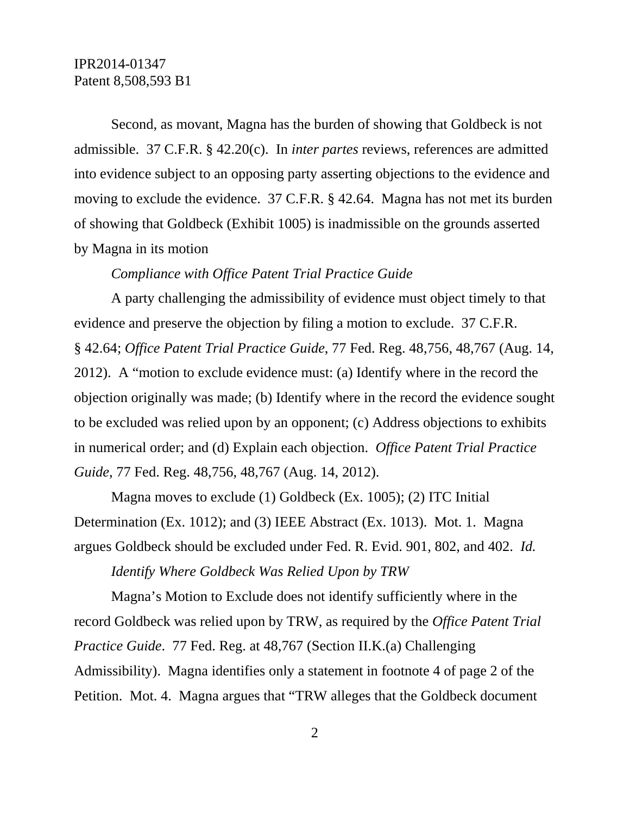Second, as movant, Magna has the burden of showing that Goldbeck is not admissible. 37 C.F.R. § 42.20(c). In *inter partes* reviews, references are admitted into evidence subject to an opposing party asserting objections to the evidence and moving to exclude the evidence. 37 C.F.R. § 42.64. Magna has not met its burden of showing that Goldbeck (Exhibit 1005) is inadmissible on the grounds asserted by Magna in its motion

#### *Compliance with Office Patent Trial Practice Guide*

A party challenging the admissibility of evidence must object timely to that evidence and preserve the objection by filing a motion to exclude. 37 C.F.R. § 42.64; *Office Patent Trial Practice Guide*, 77 Fed. Reg. 48,756, 48,767 (Aug. 14, 2012). A "motion to exclude evidence must: (a) Identify where in the record the objection originally was made; (b) Identify where in the record the evidence sought to be excluded was relied upon by an opponent; (c) Address objections to exhibits in numerical order; and (d) Explain each objection. *Office Patent Trial Practice Guide*, 77 Fed. Reg. 48,756, 48,767 (Aug. 14, 2012).

Magna moves to exclude (1) Goldbeck (Ex. 1005); (2) ITC Initial Determination (Ex. 1012); and (3) IEEE Abstract (Ex. 1013). Mot. 1. Magna argues Goldbeck should be excluded under Fed. R. Evid. 901, 802, and 402. *Id.* 

*Identify Where Goldbeck Was Relied Upon by TRW* 

Magna's Motion to Exclude does not identify sufficiently where in the record Goldbeck was relied upon by TRW, as required by the *Office Patent Trial Practice Guide*. 77 Fed. Reg. at 48,767 (Section II.K.(a) Challenging Admissibility). Magna identifies only a statement in footnote 4 of page 2 of the Petition. Mot. 4. Magna argues that "TRW alleges that the Goldbeck document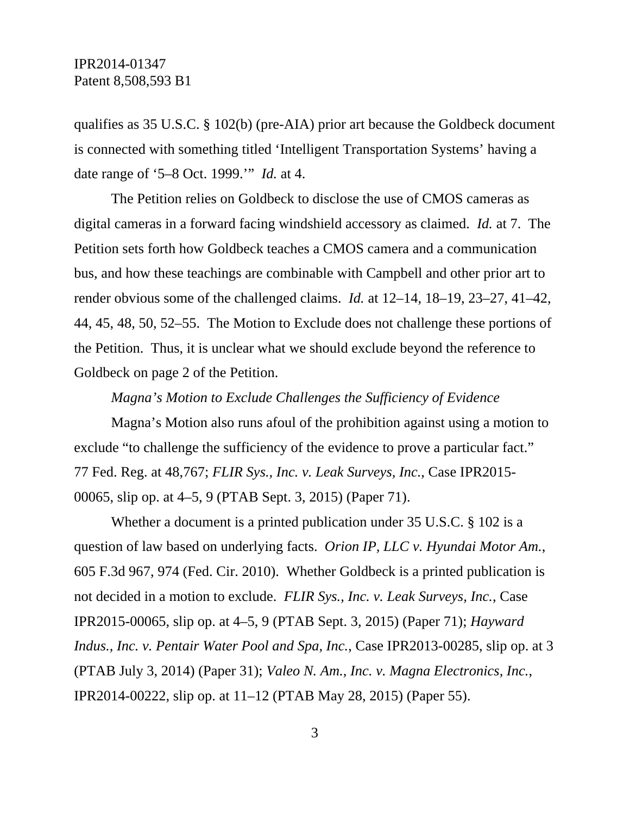qualifies as 35 U.S.C. § 102(b) (pre-AIA) prior art because the Goldbeck document is connected with something titled 'Intelligent Transportation Systems' having a date range of '5–8 Oct. 1999.'" *Id.* at 4.

The Petition relies on Goldbeck to disclose the use of CMOS cameras as digital cameras in a forward facing windshield accessory as claimed. *Id.* at 7. The Petition sets forth how Goldbeck teaches a CMOS camera and a communication bus, and how these teachings are combinable with Campbell and other prior art to render obvious some of the challenged claims. *Id.* at 12–14, 18–19, 23–27, 41–42, 44, 45, 48, 50, 52–55. The Motion to Exclude does not challenge these portions of the Petition. Thus, it is unclear what we should exclude beyond the reference to Goldbeck on page 2 of the Petition.

*Magna's Motion to Exclude Challenges the Sufficiency of Evidence* 

Magna's Motion also runs afoul of the prohibition against using a motion to exclude "to challenge the sufficiency of the evidence to prove a particular fact." 77 Fed. Reg. at 48,767; *FLIR Sys., Inc. v. Leak Surveys, Inc.*, Case IPR2015- 00065, slip op. at 4–5, 9 (PTAB Sept. 3, 2015) (Paper 71).

Whether a document is a printed publication under 35 U.S.C. § 102 is a question of law based on underlying facts. *Orion IP, LLC v. Hyundai Motor Am.*, 605 F.3d 967, 974 (Fed. Cir. 2010). Whether Goldbeck is a printed publication is not decided in a motion to exclude. *FLIR Sys., Inc. v. Leak Surveys, Inc.*, Case IPR2015-00065, slip op. at 4–5, 9 (PTAB Sept. 3, 2015) (Paper 71); *Hayward Indus., Inc. v. Pentair Water Pool and Spa, Inc.*, Case IPR2013-00285, slip op. at 3 (PTAB July 3, 2014) (Paper 31); *Valeo N. Am., Inc. v. Magna Electronics, Inc.*, IPR2014-00222, slip op. at 11–12 (PTAB May 28, 2015) (Paper 55).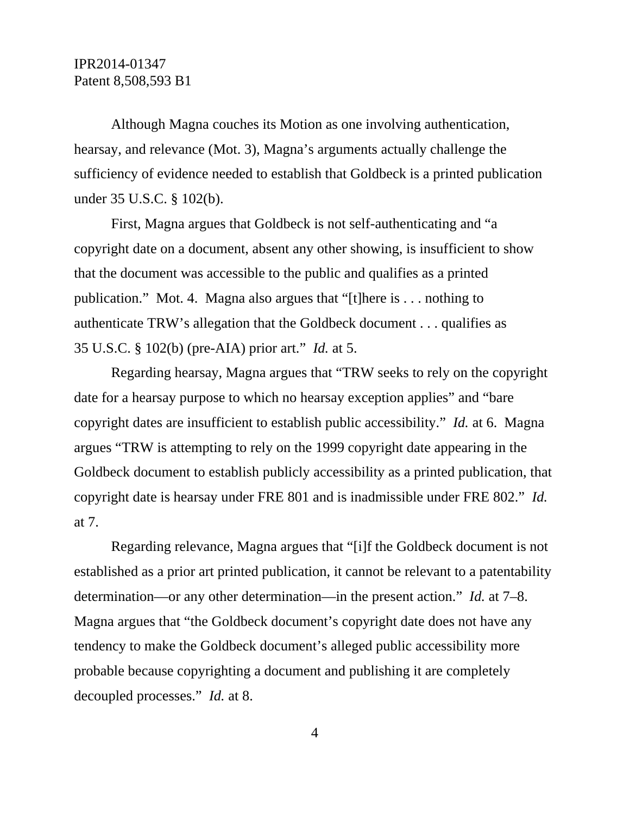Although Magna couches its Motion as one involving authentication, hearsay, and relevance (Mot. 3), Magna's arguments actually challenge the sufficiency of evidence needed to establish that Goldbeck is a printed publication under 35 U.S.C. § 102(b).

First, Magna argues that Goldbeck is not self-authenticating and "a copyright date on a document, absent any other showing, is insufficient to show that the document was accessible to the public and qualifies as a printed publication." Mot. 4. Magna also argues that "[t]here is . . . nothing to authenticate TRW's allegation that the Goldbeck document . . . qualifies as 35 U.S.C. § 102(b) (pre-AIA) prior art." *Id.* at 5.

Regarding hearsay, Magna argues that "TRW seeks to rely on the copyright date for a hearsay purpose to which no hearsay exception applies" and "bare copyright dates are insufficient to establish public accessibility." *Id.* at 6. Magna argues "TRW is attempting to rely on the 1999 copyright date appearing in the Goldbeck document to establish publicly accessibility as a printed publication, that copyright date is hearsay under FRE 801 and is inadmissible under FRE 802." *Id.*  at 7.

Regarding relevance, Magna argues that "[i]f the Goldbeck document is not established as a prior art printed publication, it cannot be relevant to a patentability determination—or any other determination—in the present action." *Id.* at 7–8. Magna argues that "the Goldbeck document's copyright date does not have any tendency to make the Goldbeck document's alleged public accessibility more probable because copyrighting a document and publishing it are completely decoupled processes." *Id.* at 8.

4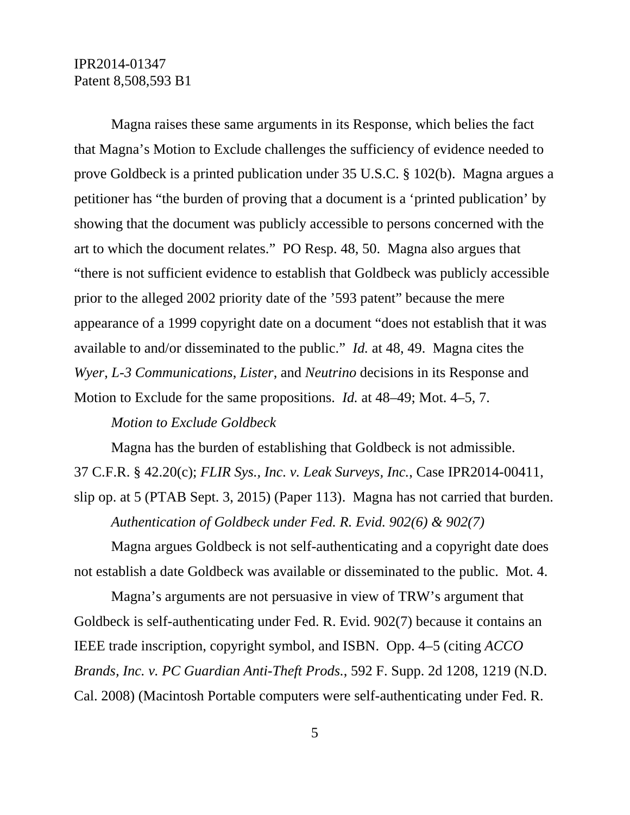Magna raises these same arguments in its Response, which belies the fact that Magna's Motion to Exclude challenges the sufficiency of evidence needed to prove Goldbeck is a printed publication under 35 U.S.C. § 102(b). Magna argues a petitioner has "the burden of proving that a document is a 'printed publication' by showing that the document was publicly accessible to persons concerned with the art to which the document relates." PO Resp. 48, 50. Magna also argues that "there is not sufficient evidence to establish that Goldbeck was publicly accessible prior to the alleged 2002 priority date of the '593 patent" because the mere appearance of a 1999 copyright date on a document "does not establish that it was available to and/or disseminated to the public." *Id.* at 48, 49. Magna cites the *Wyer*, *L-3 Communications*, *Lister*, and *Neutrino* decisions in its Response and Motion to Exclude for the same propositions. *Id.* at 48–49; Mot. 4–5, 7.

#### *Motion to Exclude Goldbeck*

Magna has the burden of establishing that Goldbeck is not admissible. 37 C.F.R. § 42.20(c); *FLIR Sys., Inc. v. Leak Surveys, Inc.*, Case IPR2014-00411, slip op. at 5 (PTAB Sept. 3, 2015) (Paper 113). Magna has not carried that burden. *Authentication of Goldbeck under Fed. R. Evid. 902(6) & 902(7)* 

Magna argues Goldbeck is not self-authenticating and a copyright date does not establish a date Goldbeck was available or disseminated to the public. Mot. 4.

Magna's arguments are not persuasive in view of TRW's argument that Goldbeck is self-authenticating under Fed. R. Evid. 902(7) because it contains an IEEE trade inscription, copyright symbol, and ISBN. Opp. 4–5 (citing *ACCO Brands, Inc. v. PC Guardian Anti-Theft Prods.*, 592 F. Supp. 2d 1208, 1219 (N.D. Cal. 2008) (Macintosh Portable computers were self-authenticating under Fed. R.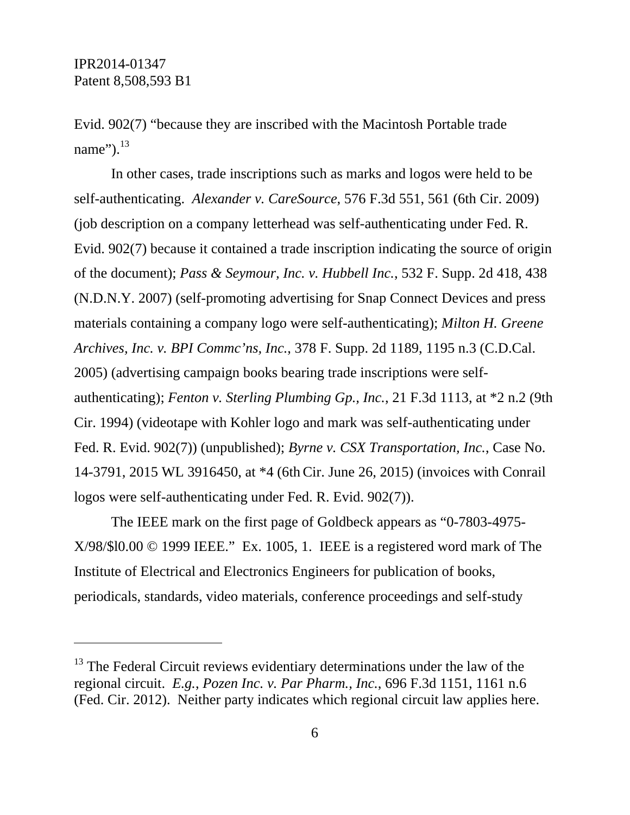Evid. 902(7) "because they are inscribed with the Macintosh Portable trade name" $)^{13}$ 

In other cases, trade inscriptions such as marks and logos were held to be self-authenticating. *Alexander v. CareSource*, 576 F.3d 551, 561 (6th Cir. 2009) (job description on a company letterhead was self-authenticating under Fed. R. Evid. 902(7) because it contained a trade inscription indicating the source of origin of the document); *Pass & Seymour, Inc. v. Hubbell Inc.*, 532 F. Supp. 2d 418, 438 (N.D.N.Y. 2007) (self-promoting advertising for Snap Connect Devices and press materials containing a company logo were self-authenticating); *Milton H. Greene Archives, Inc. v. BPI Commc'ns, Inc.*, 378 F. Supp. 2d 1189, 1195 n.3 (C.D.Cal. 2005) (advertising campaign books bearing trade inscriptions were selfauthenticating); *Fenton v. Sterling Plumbing Gp., Inc.*, 21 F.3d 1113, at \*2 n.2 (9th Cir. 1994) (videotape with Kohler logo and mark was self-authenticating under Fed. R. Evid. 902(7)) (unpublished); *Byrne v. CSX Transportation, Inc.*, Case No. 14-3791, 2015 WL 3916450, at \*4 (6thCir. June 26, 2015) (invoices with Conrail logos were self-authenticating under Fed. R. Evid. 902(7)).

The IEEE mark on the first page of Goldbeck appears as "0-7803-4975- X/98/\$l0.00 © 1999 IEEE." Ex. 1005, 1. IEEE is a registered word mark of The Institute of Electrical and Electronics Engineers for publication of books, periodicals, standards, video materials, conference proceedings and self-study

 $13$  The Federal Circuit reviews evidentiary determinations under the law of the regional circuit. *E.g.*, *Pozen Inc. v. Par Pharm., Inc.*, 696 F.3d 1151, 1161 n.6 (Fed. Cir. 2012). Neither party indicates which regional circuit law applies here.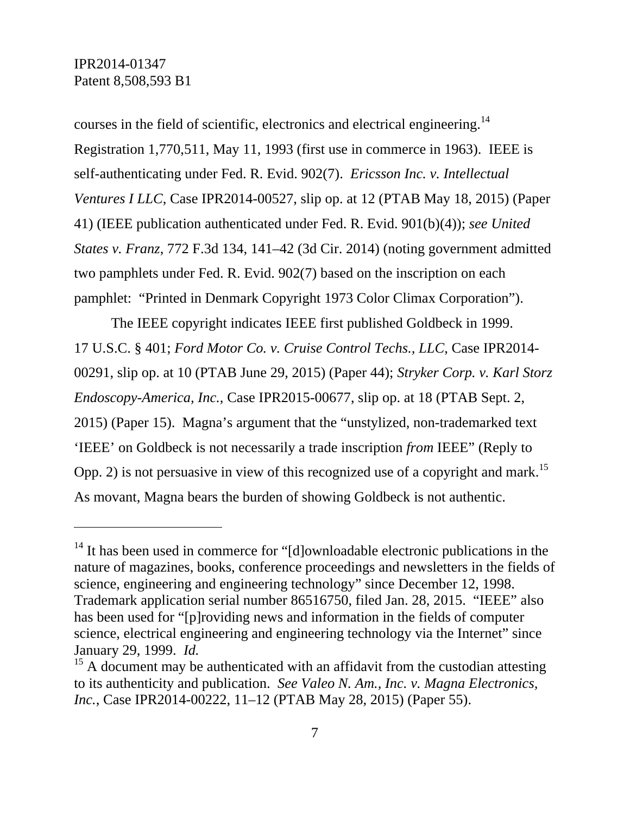courses in the field of scientific, electronics and electrical engineering.14 Registration 1,770,511, May 11, 1993 (first use in commerce in 1963). IEEE is self-authenticating under Fed. R. Evid. 902(7). *Ericsson Inc. v. Intellectual Ventures I LLC*, Case IPR2014-00527, slip op. at 12 (PTAB May 18, 2015) (Paper 41) (IEEE publication authenticated under Fed. R. Evid. 901(b)(4)); *see United States v. Franz*, 772 F.3d 134, 141–42 (3d Cir. 2014) (noting government admitted two pamphlets under Fed. R. Evid. 902(7) based on the inscription on each pamphlet: "Printed in Denmark Copyright 1973 Color Climax Corporation").

The IEEE copyright indicates IEEE first published Goldbeck in 1999. 17 U.S.C. § 401; *Ford Motor Co. v. Cruise Control Techs., LLC*, Case IPR2014- 00291, slip op. at 10 (PTAB June 29, 2015) (Paper 44); *Stryker Corp. v. Karl Storz Endoscopy-America, Inc.*, Case IPR2015-00677, slip op. at 18 (PTAB Sept. 2, 2015) (Paper 15). Magna's argument that the "unstylized, non-trademarked text 'IEEE' on Goldbeck is not necessarily a trade inscription *from* IEEE" (Reply to Opp. 2) is not persuasive in view of this recognized use of a copyright and mark.<sup>15</sup> As movant, Magna bears the burden of showing Goldbeck is not authentic.

<sup>&</sup>lt;sup>14</sup> It has been used in commerce for "[d]ownloadable electronic publications in the nature of magazines, books, conference proceedings and newsletters in the fields of science, engineering and engineering technology" since December 12, 1998. Trademark application serial number 86516750, filed Jan. 28, 2015. "IEEE" also has been used for "[p]roviding news and information in the fields of computer science, electrical engineering and engineering technology via the Internet" since January 29, 1999. *Id.* 15 A document may be authenticated with an affidavit from the custodian attesting

to its authenticity and publication. *See Valeo N. Am., Inc. v. Magna Electronics, Inc.*, Case IPR2014-00222, 11–12 (PTAB May 28, 2015) (Paper 55).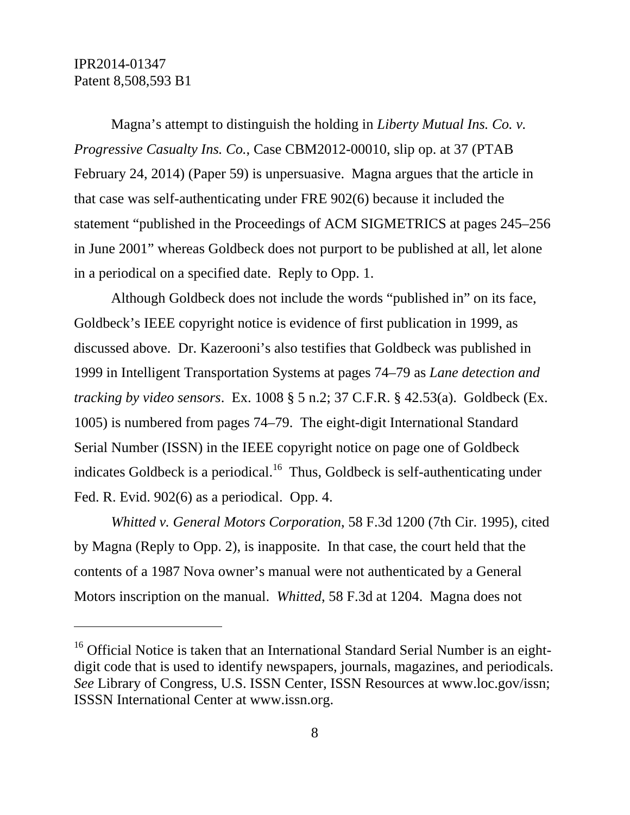Magna's attempt to distinguish the holding in *Liberty Mutual Ins. Co. v. Progressive Casualty Ins. Co.*, Case CBM2012-00010, slip op. at 37 (PTAB February 24, 2014) (Paper 59) is unpersuasive. Magna argues that the article in that case was self-authenticating under FRE 902(6) because it included the statement "published in the Proceedings of ACM SIGMETRICS at pages 245–256 in June 2001" whereas Goldbeck does not purport to be published at all, let alone in a periodical on a specified date. Reply to Opp. 1.

Although Goldbeck does not include the words "published in" on its face, Goldbeck's IEEE copyright notice is evidence of first publication in 1999, as discussed above. Dr. Kazerooni's also testifies that Goldbeck was published in 1999 in Intelligent Transportation Systems at pages 74–79 as *Lane detection and tracking by video sensors*. Ex. 1008 § 5 n.2; 37 C.F.R. § 42.53(a). Goldbeck (Ex. 1005) is numbered from pages 74–79. The eight-digit International Standard Serial Number (ISSN) in the IEEE copyright notice on page one of Goldbeck indicates Goldbeck is a periodical.<sup>16</sup> Thus, Goldbeck is self-authenticating under Fed. R. Evid. 902(6) as a periodical. Opp. 4.

*Whitted v. General Motors Corporation*, 58 F.3d 1200 (7th Cir. 1995), cited by Magna (Reply to Opp. 2), is inapposite. In that case, the court held that the contents of a 1987 Nova owner's manual were not authenticated by a General Motors inscription on the manual. *Whitted*, 58 F.3d at 1204. Magna does not

<sup>&</sup>lt;sup>16</sup> Official Notice is taken that an International Standard Serial Number is an eightdigit code that is used to identify newspapers, journals, magazines, and periodicals. *See* Library of Congress, U.S. ISSN Center, ISSN Resources at www.loc.gov/issn; ISSSN International Center at www.issn.org.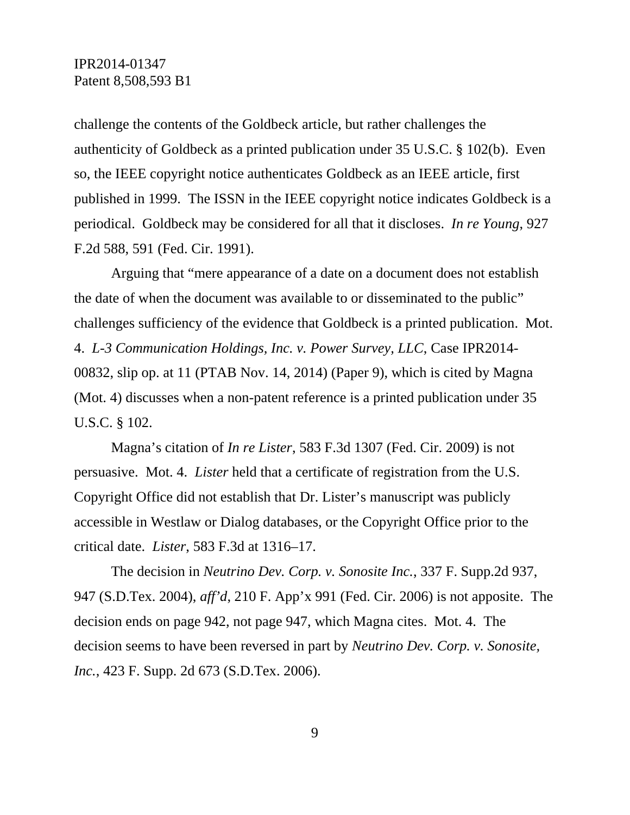challenge the contents of the Goldbeck article, but rather challenges the authenticity of Goldbeck as a printed publication under 35 U.S.C. § 102(b). Even so, the IEEE copyright notice authenticates Goldbeck as an IEEE article, first published in 1999. The ISSN in the IEEE copyright notice indicates Goldbeck is a periodical. Goldbeck may be considered for all that it discloses. *In re Young*, 927 F.2d 588, 591 (Fed. Cir. 1991).

Arguing that "mere appearance of a date on a document does not establish the date of when the document was available to or disseminated to the public" challenges sufficiency of the evidence that Goldbeck is a printed publication. Mot. 4. *L-3 Communication Holdings, Inc. v. Power Survey, LLC*, Case IPR2014- 00832, slip op. at 11 (PTAB Nov. 14, 2014) (Paper 9), which is cited by Magna (Mot. 4) discusses when a non-patent reference is a printed publication under 35 U.S.C. § 102.

Magna's citation of *In re Lister*, 583 F.3d 1307 (Fed. Cir. 2009) is not persuasive. Mot. 4. *Lister* held that a certificate of registration from the U.S. Copyright Office did not establish that Dr. Lister's manuscript was publicly accessible in Westlaw or Dialog databases, or the Copyright Office prior to the critical date. *Lister*, 583 F.3d at 1316–17.

The decision in *Neutrino Dev. Corp. v. Sonosite Inc.*, 337 F. Supp.2d 937, 947 (S.D.Tex. 2004), *aff'd*, 210 F. App'x 991 (Fed. Cir. 2006) is not apposite. The decision ends on page 942, not page 947, which Magna cites. Mot. 4. The decision seems to have been reversed in part by *Neutrino Dev. Corp. v. Sonosite, Inc.*, 423 F. Supp. 2d 673 (S.D.Tex. 2006).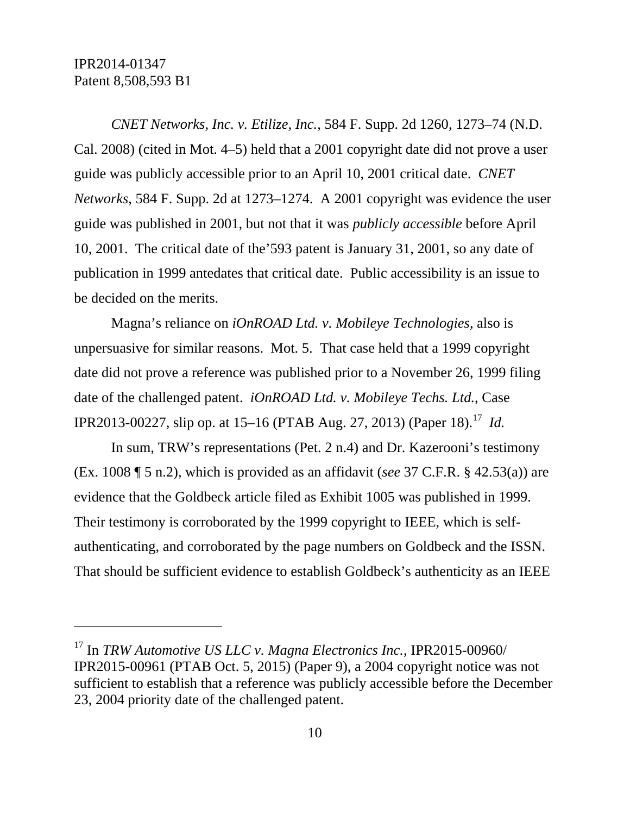$\overline{a}$ 

*CNET Networks, Inc. v. Etilize, Inc.*, 584 F. Supp. 2d 1260, 1273–74 (N.D. Cal. 2008) (cited in Mot. 4–5) held that a 2001 copyright date did not prove a user guide was publicly accessible prior to an April 10, 2001 critical date. *CNET Networks*, 584 F. Supp. 2d at 1273–1274. A 2001 copyright was evidence the user guide was published in 2001, but not that it was *publicly accessible* before April 10, 2001. The critical date of the'593 patent is January 31, 2001, so any date of publication in 1999 antedates that critical date. Public accessibility is an issue to be decided on the merits.

Magna's reliance on *iOnROAD Ltd. v. Mobileye Technologies*, also is unpersuasive for similar reasons. Mot. 5. That case held that a 1999 copyright date did not prove a reference was published prior to a November 26, 1999 filing date of the challenged patent. *iOnROAD Ltd. v. Mobileye Techs. Ltd.*, Case IPR2013-00227, slip op. at 15–16 (PTAB Aug. 27, 2013) (Paper 18).<sup>17</sup> *Id.* 

In sum, TRW's representations (Pet. 2 n.4) and Dr. Kazerooni's testimony (Ex. 1008 ¶ 5 n.2), which is provided as an affidavit (*see* 37 C.F.R. § 42.53(a)) are evidence that the Goldbeck article filed as Exhibit 1005 was published in 1999. Their testimony is corroborated by the 1999 copyright to IEEE, which is selfauthenticating, and corroborated by the page numbers on Goldbeck and the ISSN. That should be sufficient evidence to establish Goldbeck's authenticity as an IEEE

<sup>17</sup> In *TRW Automotive US LLC v. Magna Electronics Inc.*, IPR2015-00960/ IPR2015-00961 (PTAB Oct. 5, 2015) (Paper 9), a 2004 copyright notice was not sufficient to establish that a reference was publicly accessible before the December 23, 2004 priority date of the challenged patent.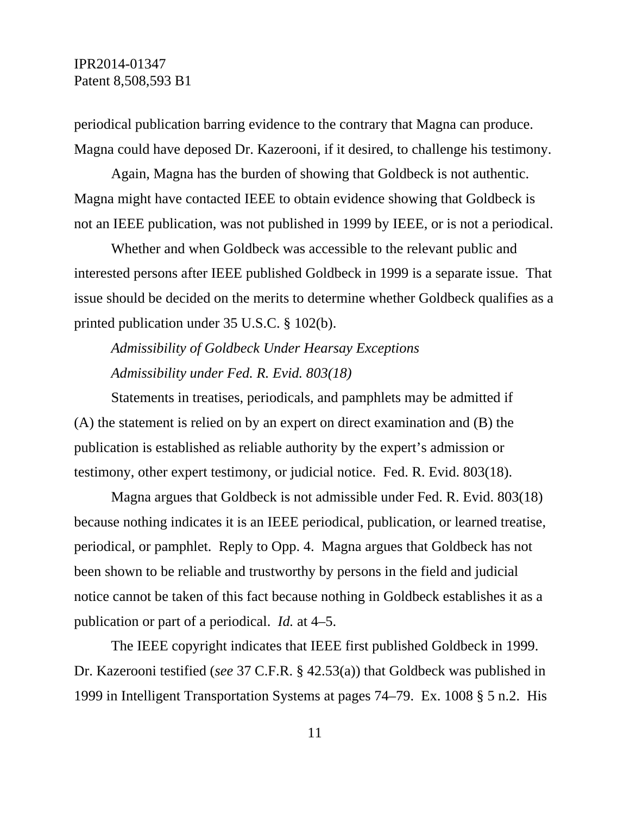periodical publication barring evidence to the contrary that Magna can produce. Magna could have deposed Dr. Kazerooni, if it desired, to challenge his testimony.

Again, Magna has the burden of showing that Goldbeck is not authentic. Magna might have contacted IEEE to obtain evidence showing that Goldbeck is not an IEEE publication, was not published in 1999 by IEEE, or is not a periodical.

Whether and when Goldbeck was accessible to the relevant public and interested persons after IEEE published Goldbeck in 1999 is a separate issue. That issue should be decided on the merits to determine whether Goldbeck qualifies as a printed publication under 35 U.S.C. § 102(b).

*Admissibility of Goldbeck Under Hearsay Exceptions Admissibility under Fed. R. Evid. 803(18)*

Statements in treatises, periodicals, and pamphlets may be admitted if (A) the statement is relied on by an expert on direct examination and (B) the publication is established as reliable authority by the expert's admission or testimony, other expert testimony, or judicial notice. Fed. R. Evid. 803(18).

Magna argues that Goldbeck is not admissible under Fed. R. Evid. 803(18) because nothing indicates it is an IEEE periodical, publication, or learned treatise, periodical, or pamphlet. Reply to Opp. 4. Magna argues that Goldbeck has not been shown to be reliable and trustworthy by persons in the field and judicial notice cannot be taken of this fact because nothing in Goldbeck establishes it as a publication or part of a periodical. *Id.* at 4–5.

The IEEE copyright indicates that IEEE first published Goldbeck in 1999. Dr. Kazerooni testified (*see* 37 C.F.R. § 42.53(a)) that Goldbeck was published in 1999 in Intelligent Transportation Systems at pages 74–79. Ex. 1008 § 5 n.2. His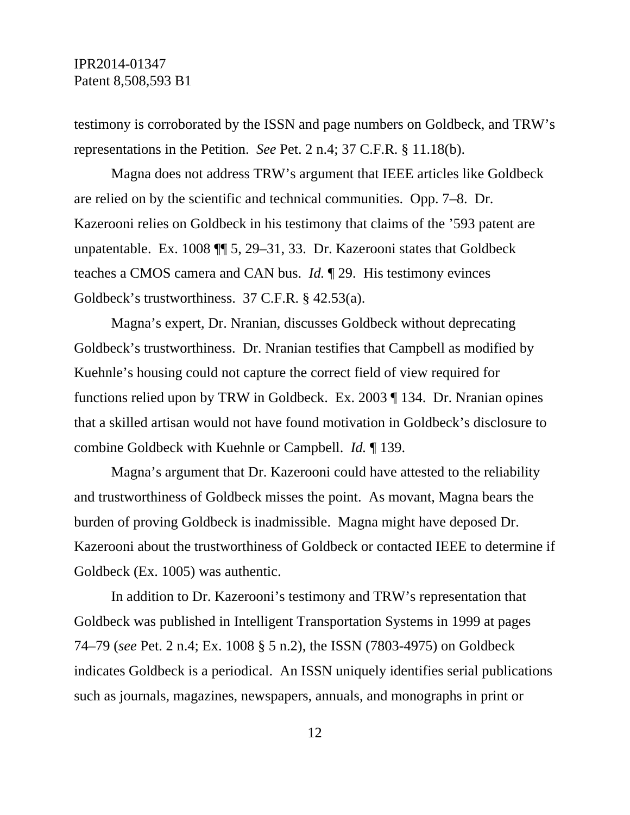testimony is corroborated by the ISSN and page numbers on Goldbeck, and TRW's representations in the Petition. *See* Pet. 2 n.4; 37 C.F.R. § 11.18(b).

Magna does not address TRW's argument that IEEE articles like Goldbeck are relied on by the scientific and technical communities. Opp. 7–8. Dr. Kazerooni relies on Goldbeck in his testimony that claims of the '593 patent are unpatentable. Ex. 1008 ¶¶ 5, 29–31, 33. Dr. Kazerooni states that Goldbeck teaches a CMOS camera and CAN bus. *Id.* ¶ 29. His testimony evinces Goldbeck's trustworthiness. 37 C.F.R. § 42.53(a).

Magna's expert, Dr. Nranian, discusses Goldbeck without deprecating Goldbeck's trustworthiness. Dr. Nranian testifies that Campbell as modified by Kuehnle's housing could not capture the correct field of view required for functions relied upon by TRW in Goldbeck. Ex. 2003 ¶ 134. Dr. Nranian opines that a skilled artisan would not have found motivation in Goldbeck's disclosure to combine Goldbeck with Kuehnle or Campbell. *Id.* ¶ 139.

Magna's argument that Dr. Kazerooni could have attested to the reliability and trustworthiness of Goldbeck misses the point. As movant, Magna bears the burden of proving Goldbeck is inadmissible. Magna might have deposed Dr. Kazerooni about the trustworthiness of Goldbeck or contacted IEEE to determine if Goldbeck (Ex. 1005) was authentic.

In addition to Dr. Kazerooni's testimony and TRW's representation that Goldbeck was published in Intelligent Transportation Systems in 1999 at pages 74–79 (*see* Pet. 2 n.4; Ex. 1008 § 5 n.2), the ISSN (7803-4975) on Goldbeck indicates Goldbeck is a periodical. An ISSN uniquely identifies serial publications such as journals, magazines, newspapers, annuals, and monographs in print or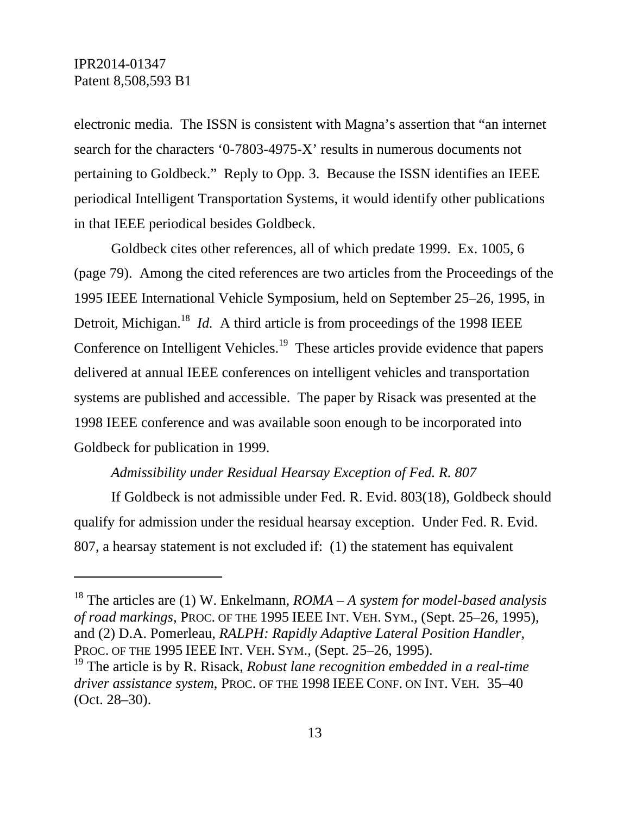electronic media. The ISSN is consistent with Magna's assertion that "an internet search for the characters '0-7803-4975-X' results in numerous documents not pertaining to Goldbeck." Reply to Opp. 3. Because the ISSN identifies an IEEE periodical Intelligent Transportation Systems, it would identify other publications in that IEEE periodical besides Goldbeck.

Goldbeck cites other references, all of which predate 1999. Ex. 1005, 6 (page 79). Among the cited references are two articles from the Proceedings of the 1995 IEEE International Vehicle Symposium, held on September 25–26, 1995, in Detroit, Michigan.<sup>18</sup> *Id.* A third article is from proceedings of the 1998 IEEE Conference on Intelligent Vehicles.<sup>19</sup> These articles provide evidence that papers delivered at annual IEEE conferences on intelligent vehicles and transportation systems are published and accessible. The paper by Risack was presented at the 1998 IEEE conference and was available soon enough to be incorporated into Goldbeck for publication in 1999.

### *Admissibility under Residual Hearsay Exception of Fed. R. 807*

If Goldbeck is not admissible under Fed. R. Evid. 803(18), Goldbeck should qualify for admission under the residual hearsay exception. Under Fed. R. Evid. 807, a hearsay statement is not excluded if: (1) the statement has equivalent

<sup>18</sup> The articles are (1) W. Enkelmann, *ROMA – A system for model-based analysis of road markings*, PROC. OF THE 1995 IEEE INT. VEH. SYM., (Sept. 25–26, 1995), and (2) D.A. Pomerleau, *RALPH: Rapidly Adaptive Lateral Position Handler*, PROC. OF THE 1995 IEEE INT. VEH. SYM., (Sept. 25–26, 1995).

<sup>19</sup> The article is by R. Risack, *Robust lane recognition embedded in a real-time driver assistance system*, PROC. OF THE 1998 IEEE CONF. ON INT. VEH*.* 35–40 (Oct. 28–30).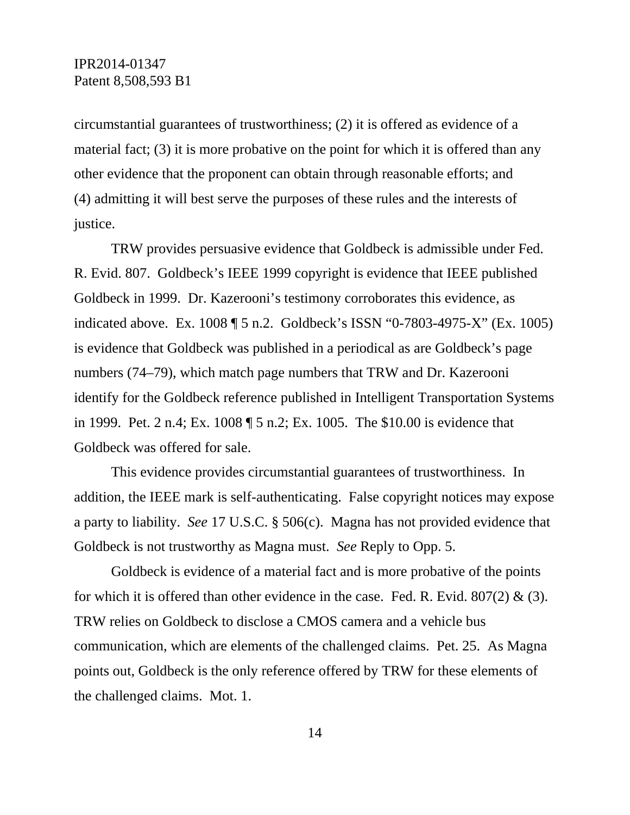circumstantial guarantees of trustworthiness; (2) it is offered as evidence of a material fact; (3) it is more probative on the point for which it is offered than any other evidence that the proponent can obtain through reasonable efforts; and (4) admitting it will best serve the purposes of these rules and the interests of justice.

TRW provides persuasive evidence that Goldbeck is admissible under Fed. R. Evid. 807. Goldbeck's IEEE 1999 copyright is evidence that IEEE published Goldbeck in 1999. Dr. Kazerooni's testimony corroborates this evidence, as indicated above. Ex. 1008 ¶ 5 n.2. Goldbeck's ISSN "0-7803-4975-X" (Ex. 1005) is evidence that Goldbeck was published in a periodical as are Goldbeck's page numbers (74–79), which match page numbers that TRW and Dr. Kazerooni identify for the Goldbeck reference published in Intelligent Transportation Systems in 1999. Pet. 2 n.4; Ex. 1008 ¶ 5 n.2; Ex. 1005. The \$10.00 is evidence that Goldbeck was offered for sale.

This evidence provides circumstantial guarantees of trustworthiness. In addition, the IEEE mark is self-authenticating. False copyright notices may expose a party to liability. *See* 17 U.S.C. § 506(c). Magna has not provided evidence that Goldbeck is not trustworthy as Magna must. *See* Reply to Opp. 5.

Goldbeck is evidence of a material fact and is more probative of the points for which it is offered than other evidence in the case. Fed. R. Evid.  $807(2)$  & (3). TRW relies on Goldbeck to disclose a CMOS camera and a vehicle bus communication, which are elements of the challenged claims. Pet. 25. As Magna points out, Goldbeck is the only reference offered by TRW for these elements of the challenged claims. Mot. 1.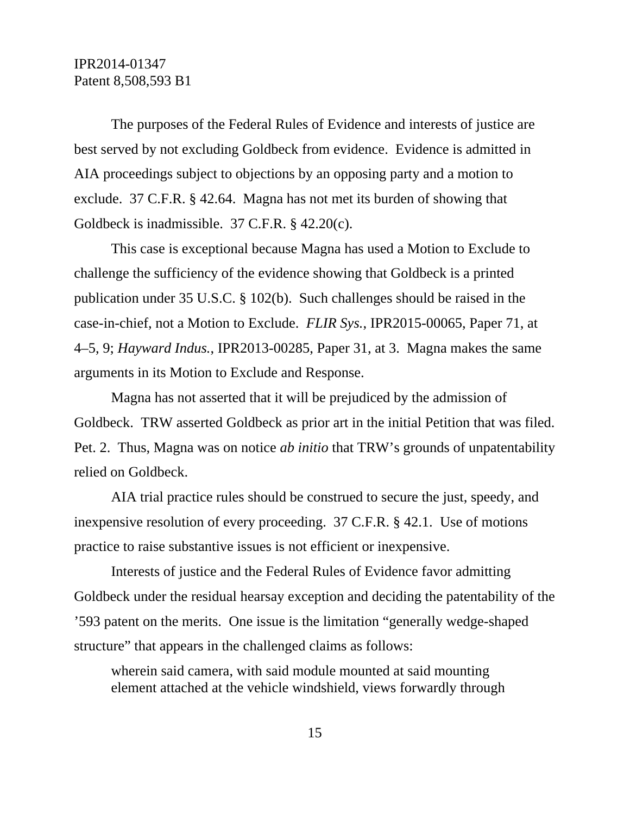The purposes of the Federal Rules of Evidence and interests of justice are best served by not excluding Goldbeck from evidence. Evidence is admitted in AIA proceedings subject to objections by an opposing party and a motion to exclude. 37 C.F.R. § 42.64. Magna has not met its burden of showing that Goldbeck is inadmissible. 37 C.F.R. § 42.20(c).

This case is exceptional because Magna has used a Motion to Exclude to challenge the sufficiency of the evidence showing that Goldbeck is a printed publication under 35 U.S.C. § 102(b). Such challenges should be raised in the case-in-chief, not a Motion to Exclude. *FLIR Sys.*, IPR2015-00065, Paper 71, at 4–5, 9; *Hayward Indus.*, IPR2013-00285, Paper 31, at 3. Magna makes the same arguments in its Motion to Exclude and Response.

Magna has not asserted that it will be prejudiced by the admission of Goldbeck. TRW asserted Goldbeck as prior art in the initial Petition that was filed. Pet. 2. Thus, Magna was on notice *ab initio* that TRW's grounds of unpatentability relied on Goldbeck.

AIA trial practice rules should be construed to secure the just, speedy, and inexpensive resolution of every proceeding. 37 C.F.R. § 42.1. Use of motions practice to raise substantive issues is not efficient or inexpensive.

Interests of justice and the Federal Rules of Evidence favor admitting Goldbeck under the residual hearsay exception and deciding the patentability of the '593 patent on the merits. One issue is the limitation "generally wedge-shaped structure" that appears in the challenged claims as follows:

wherein said camera, with said module mounted at said mounting element attached at the vehicle windshield, views forwardly through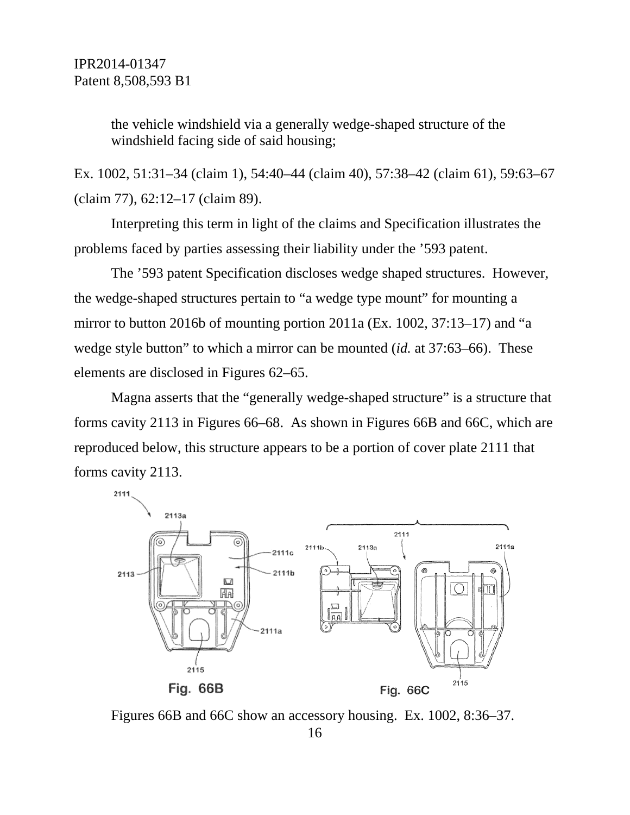the vehicle windshield via a generally wedge-shaped structure of the windshield facing side of said housing;

Ex. 1002, 51:31–34 (claim 1), 54:40–44 (claim 40), 57:38–42 (claim 61), 59:63–67 (claim 77), 62:12–17 (claim 89).

Interpreting this term in light of the claims and Specification illustrates the problems faced by parties assessing their liability under the '593 patent.

The '593 patent Specification discloses wedge shaped structures. However, the wedge-shaped structures pertain to "a wedge type mount" for mounting a mirror to button 2016b of mounting portion 2011a (Ex. 1002, 37:13–17) and "a wedge style button" to which a mirror can be mounted (*id.* at 37:63–66). These elements are disclosed in Figures 62–65.

Magna asserts that the "generally wedge-shaped structure" is a structure that forms cavity 2113 in Figures 66–68. As shown in Figures 66B and 66C, which are reproduced below, this structure appears to be a portion of cover plate 2111 that forms cavity 2113.



Figures 66B and 66C show an accessory housing. Ex. 1002, 8:36–37.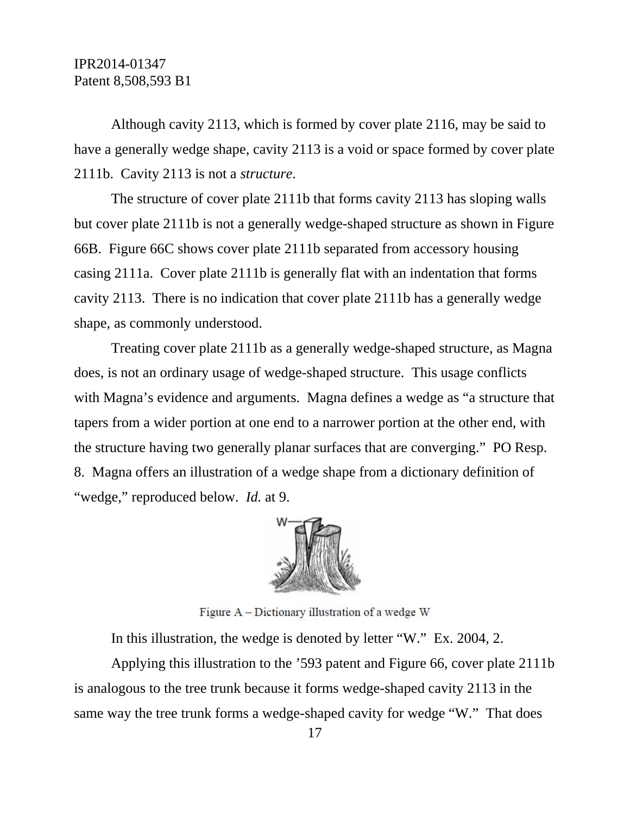Although cavity 2113, which is formed by cover plate 2116, may be said to have a generally wedge shape, cavity 2113 is a void or space formed by cover plate 2111b. Cavity 2113 is not a *structure*.

The structure of cover plate 2111b that forms cavity 2113 has sloping walls but cover plate 2111b is not a generally wedge-shaped structure as shown in Figure 66B. Figure 66C shows cover plate 2111b separated from accessory housing casing 2111a. Cover plate 2111b is generally flat with an indentation that forms cavity 2113. There is no indication that cover plate 2111b has a generally wedge shape, as commonly understood.

Treating cover plate 2111b as a generally wedge-shaped structure, as Magna does, is not an ordinary usage of wedge-shaped structure. This usage conflicts with Magna's evidence and arguments. Magna defines a wedge as "a structure that tapers from a wider portion at one end to a narrower portion at the other end, with the structure having two generally planar surfaces that are converging." PO Resp. 8. Magna offers an illustration of a wedge shape from a dictionary definition of "wedge," reproduced below. *Id.* at 9.



Figure A – Dictionary illustration of a wedge W

In this illustration, the wedge is denoted by letter "W." Ex. 2004, 2.

Applying this illustration to the '593 patent and Figure 66, cover plate 2111b is analogous to the tree trunk because it forms wedge-shaped cavity 2113 in the same way the tree trunk forms a wedge-shaped cavity for wedge "W." That does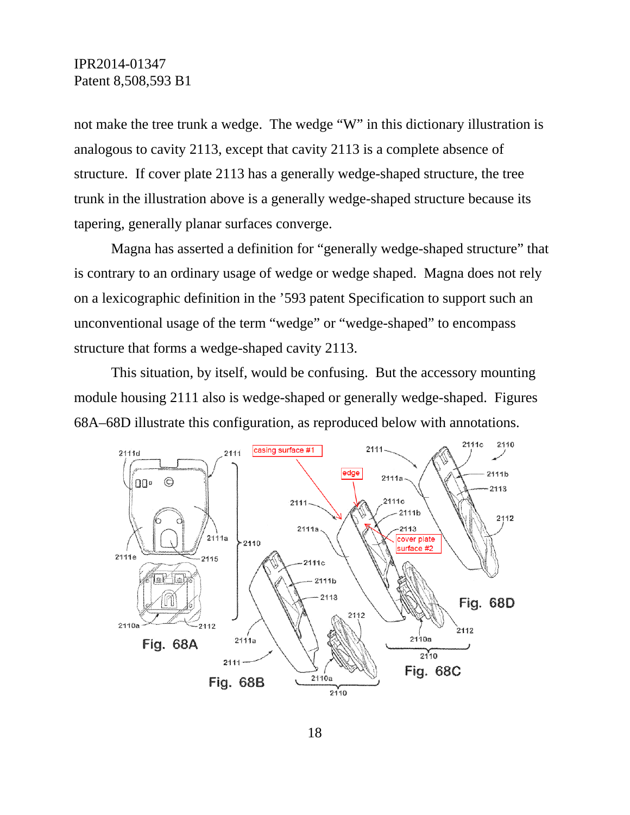not make the tree trunk a wedge. The wedge "W" in this dictionary illustration is analogous to cavity 2113, except that cavity 2113 is a complete absence of structure. If cover plate 2113 has a generally wedge-shaped structure, the tree trunk in the illustration above is a generally wedge-shaped structure because its tapering, generally planar surfaces converge.

Magna has asserted a definition for "generally wedge-shaped structure" that is contrary to an ordinary usage of wedge or wedge shaped. Magna does not rely on a lexicographic definition in the '593 patent Specification to support such an unconventional usage of the term "wedge" or "wedge-shaped" to encompass structure that forms a wedge-shaped cavity 2113.

This situation, by itself, would be confusing. But the accessory mounting module housing 2111 also is wedge-shaped or generally wedge-shaped. Figures 68A–68D illustrate this configuration, as reproduced below with annotations.

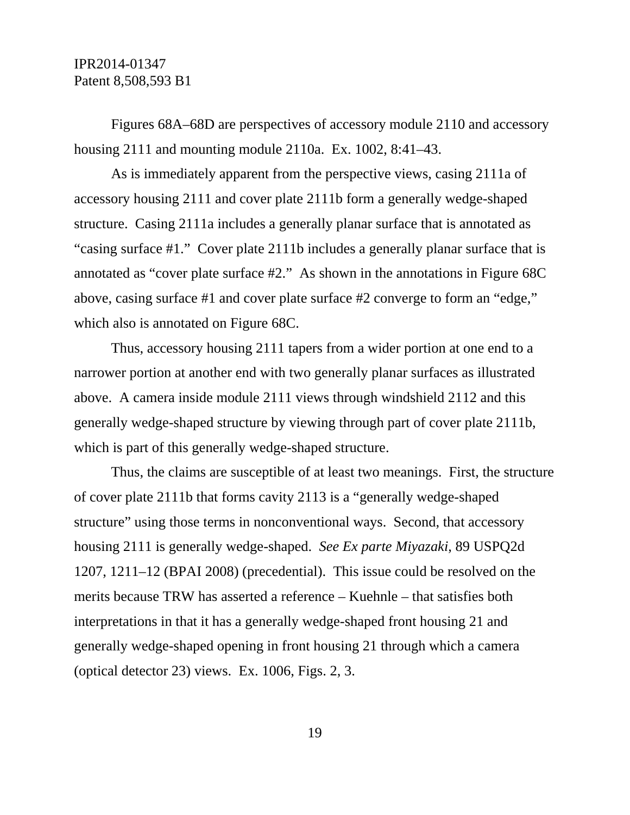Figures 68A–68D are perspectives of accessory module 2110 and accessory housing 2111 and mounting module 2110a. Ex. 1002, 8:41–43.

As is immediately apparent from the perspective views, casing 2111a of accessory housing 2111 and cover plate 2111b form a generally wedge-shaped structure. Casing 2111a includes a generally planar surface that is annotated as "casing surface #1." Cover plate 2111b includes a generally planar surface that is annotated as "cover plate surface #2." As shown in the annotations in Figure 68C above, casing surface #1 and cover plate surface #2 converge to form an "edge," which also is annotated on Figure 68C.

Thus, accessory housing 2111 tapers from a wider portion at one end to a narrower portion at another end with two generally planar surfaces as illustrated above. A camera inside module 2111 views through windshield 2112 and this generally wedge-shaped structure by viewing through part of cover plate 2111b, which is part of this generally wedge-shaped structure.

Thus, the claims are susceptible of at least two meanings. First, the structure of cover plate 2111b that forms cavity 2113 is a "generally wedge-shaped structure" using those terms in nonconventional ways. Second, that accessory housing 2111 is generally wedge-shaped. *See Ex parte Miyazaki*, 89 USPQ2d 1207, 1211–12 (BPAI 2008) (precedential). This issue could be resolved on the merits because TRW has asserted a reference – Kuehnle – that satisfies both interpretations in that it has a generally wedge-shaped front housing 21 and generally wedge-shaped opening in front housing 21 through which a camera (optical detector 23) views. Ex. 1006, Figs. 2, 3.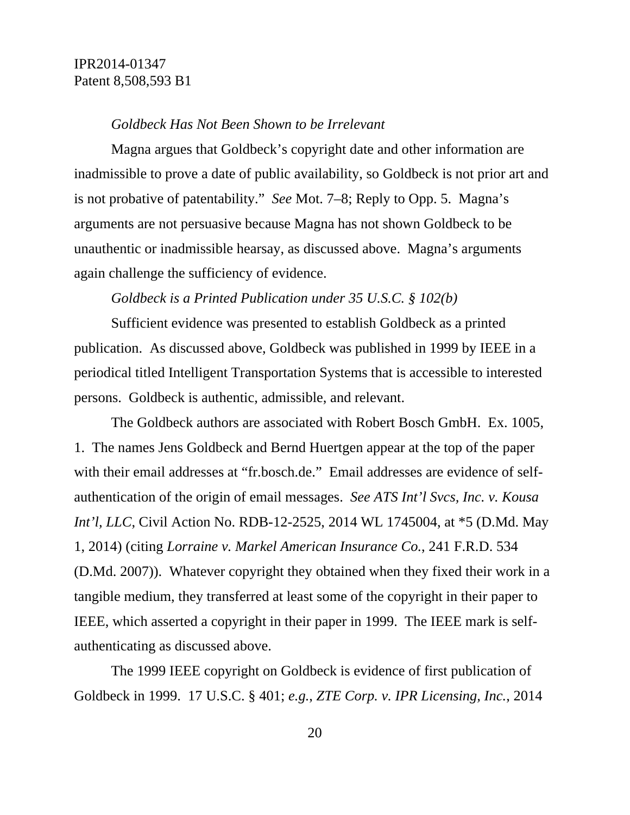#### *Goldbeck Has Not Been Shown to be Irrelevant*

Magna argues that Goldbeck's copyright date and other information are inadmissible to prove a date of public availability, so Goldbeck is not prior art and is not probative of patentability." *See* Mot. 7–8; Reply to Opp. 5. Magna's arguments are not persuasive because Magna has not shown Goldbeck to be unauthentic or inadmissible hearsay, as discussed above. Magna's arguments again challenge the sufficiency of evidence.

#### *Goldbeck is a Printed Publication under 35 U.S.C. § 102(b)*

Sufficient evidence was presented to establish Goldbeck as a printed publication. As discussed above, Goldbeck was published in 1999 by IEEE in a periodical titled Intelligent Transportation Systems that is accessible to interested persons. Goldbeck is authentic, admissible, and relevant.

The Goldbeck authors are associated with Robert Bosch GmbH. Ex. 1005, 1. The names Jens Goldbeck and Bernd Huertgen appear at the top of the paper with their email addresses at "fr.bosch.de." Email addresses are evidence of selfauthentication of the origin of email messages. *See ATS Int'l Svcs, Inc. v. Kousa Int'l, LLC*, Civil Action No. RDB-12-2525, 2014 WL 1745004, at \*5 (D.Md. May 1, 2014) (citing *Lorraine v. Markel American Insurance Co.*, 241 F.R.D. 534 (D.Md. 2007)). Whatever copyright they obtained when they fixed their work in a tangible medium, they transferred at least some of the copyright in their paper to IEEE, which asserted a copyright in their paper in 1999. The IEEE mark is selfauthenticating as discussed above.

The 1999 IEEE copyright on Goldbeck is evidence of first publication of Goldbeck in 1999. 17 U.S.C. § 401; *e.g.*, *ZTE Corp. v. IPR Licensing, Inc.*, 2014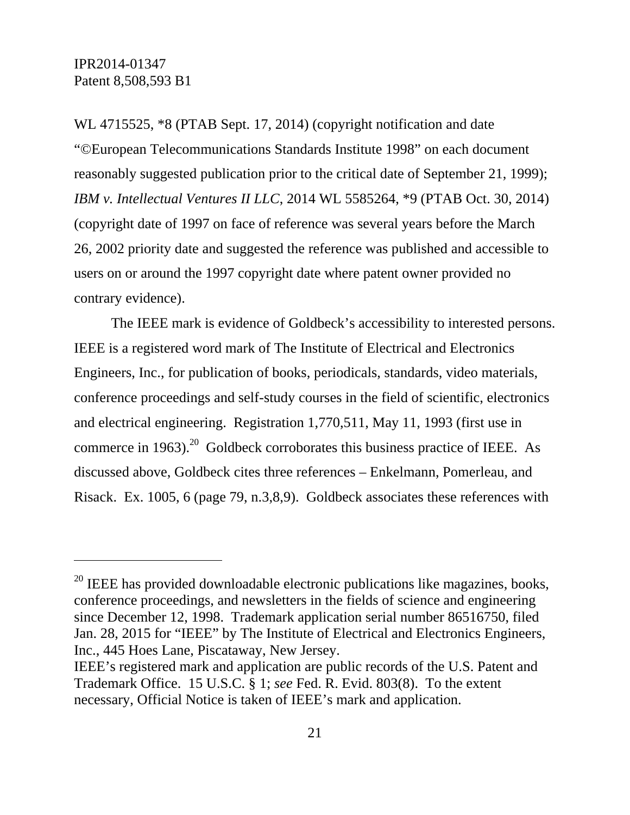WL 4715525, \*8 (PTAB Sept. 17, 2014) (copyright notification and date "©European Telecommunications Standards Institute 1998" on each document reasonably suggested publication prior to the critical date of September 21, 1999); *IBM v. Intellectual Ventures II LLC*, 2014 WL 5585264, \*9 (PTAB Oct. 30, 2014) (copyright date of 1997 on face of reference was several years before the March 26, 2002 priority date and suggested the reference was published and accessible to users on or around the 1997 copyright date where patent owner provided no contrary evidence).

The IEEE mark is evidence of Goldbeck's accessibility to interested persons. IEEE is a registered word mark of The Institute of Electrical and Electronics Engineers, Inc., for publication of books, periodicals, standards, video materials, conference proceedings and self-study courses in the field of scientific, electronics and electrical engineering. Registration 1,770,511, May 11, 1993 (first use in commerce in 1963).<sup>20</sup> Goldbeck corroborates this business practice of IEEE. As discussed above, Goldbeck cites three references – Enkelmann, Pomerleau, and Risack. Ex. 1005, 6 (page 79, n.3,8,9). Goldbeck associates these references with

 $20$  IEEE has provided downloadable electronic publications like magazines, books, conference proceedings, and newsletters in the fields of science and engineering since December 12, 1998. Trademark application serial number 86516750, filed Jan. 28, 2015 for "IEEE" by The Institute of Electrical and Electronics Engineers, Inc., 445 Hoes Lane, Piscataway, New Jersey.

IEEE's registered mark and application are public records of the U.S. Patent and Trademark Office. 15 U.S.C. § 1; *see* Fed. R. Evid. 803(8). To the extent necessary, Official Notice is taken of IEEE's mark and application.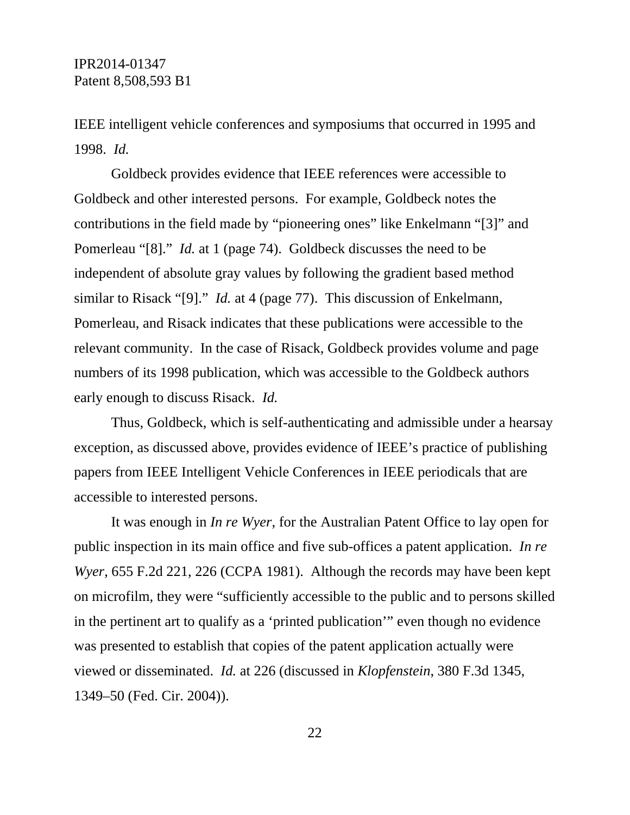IEEE intelligent vehicle conferences and symposiums that occurred in 1995 and 1998. *Id.* 

Goldbeck provides evidence that IEEE references were accessible to Goldbeck and other interested persons. For example, Goldbeck notes the contributions in the field made by "pioneering ones" like Enkelmann "[3]" and Pomerleau "[8]." *Id.* at 1 (page 74). Goldbeck discusses the need to be independent of absolute gray values by following the gradient based method similar to Risack "[9]." *Id.* at 4 (page 77). This discussion of Enkelmann, Pomerleau, and Risack indicates that these publications were accessible to the relevant community. In the case of Risack, Goldbeck provides volume and page numbers of its 1998 publication, which was accessible to the Goldbeck authors early enough to discuss Risack. *Id.* 

Thus, Goldbeck, which is self-authenticating and admissible under a hearsay exception, as discussed above, provides evidence of IEEE's practice of publishing papers from IEEE Intelligent Vehicle Conferences in IEEE periodicals that are accessible to interested persons.

It was enough in *In re Wyer*, for the Australian Patent Office to lay open for public inspection in its main office and five sub-offices a patent application. *In re Wyer*, 655 F.2d 221, 226 (CCPA 1981). Although the records may have been kept on microfilm, they were "sufficiently accessible to the public and to persons skilled in the pertinent art to qualify as a 'printed publication'" even though no evidence was presented to establish that copies of the patent application actually were viewed or disseminated. *Id.* at 226 (discussed in *Klopfenstein*, 380 F.3d 1345, 1349–50 (Fed. Cir. 2004)).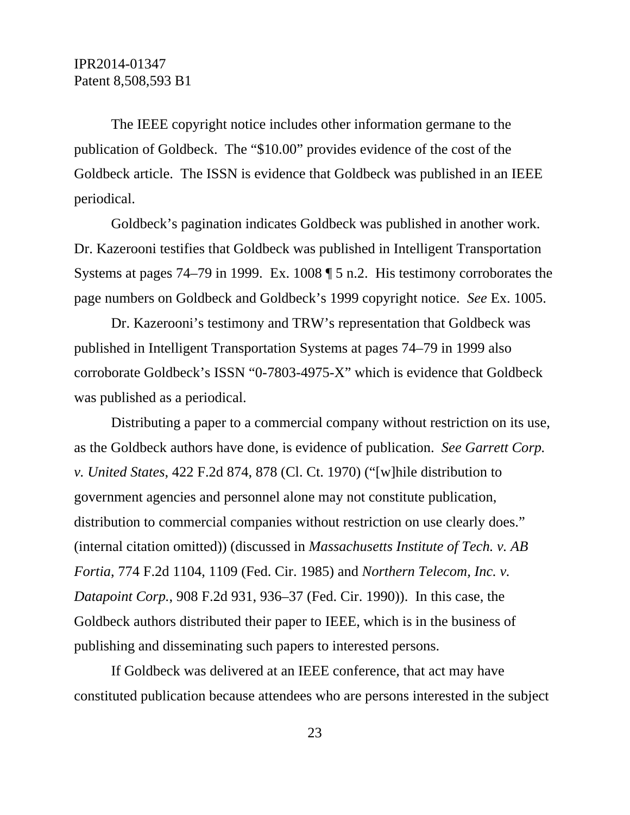The IEEE copyright notice includes other information germane to the publication of Goldbeck. The "\$10.00" provides evidence of the cost of the Goldbeck article. The ISSN is evidence that Goldbeck was published in an IEEE periodical.

Goldbeck's pagination indicates Goldbeck was published in another work. Dr. Kazerooni testifies that Goldbeck was published in Intelligent Transportation Systems at pages 74–79 in 1999. Ex. 1008 ¶ 5 n.2. His testimony corroborates the page numbers on Goldbeck and Goldbeck's 1999 copyright notice. *See* Ex. 1005.

Dr. Kazerooni's testimony and TRW's representation that Goldbeck was published in Intelligent Transportation Systems at pages 74–79 in 1999 also corroborate Goldbeck's ISSN "0-7803-4975-X" which is evidence that Goldbeck was published as a periodical.

Distributing a paper to a commercial company without restriction on its use, as the Goldbeck authors have done, is evidence of publication. *See Garrett Corp. v. United States*, 422 F.2d 874, 878 (Cl. Ct. 1970) ("[w]hile distribution to government agencies and personnel alone may not constitute publication, distribution to commercial companies without restriction on use clearly does." (internal citation omitted)) (discussed in *Massachusetts Institute of Tech. v. AB Fortia*, 774 F.2d 1104, 1109 (Fed. Cir. 1985) and *Northern Telecom, Inc. v. Datapoint Corp.*, 908 F.2d 931, 936–37 (Fed. Cir. 1990)). In this case, the Goldbeck authors distributed their paper to IEEE, which is in the business of publishing and disseminating such papers to interested persons.

If Goldbeck was delivered at an IEEE conference, that act may have constituted publication because attendees who are persons interested in the subject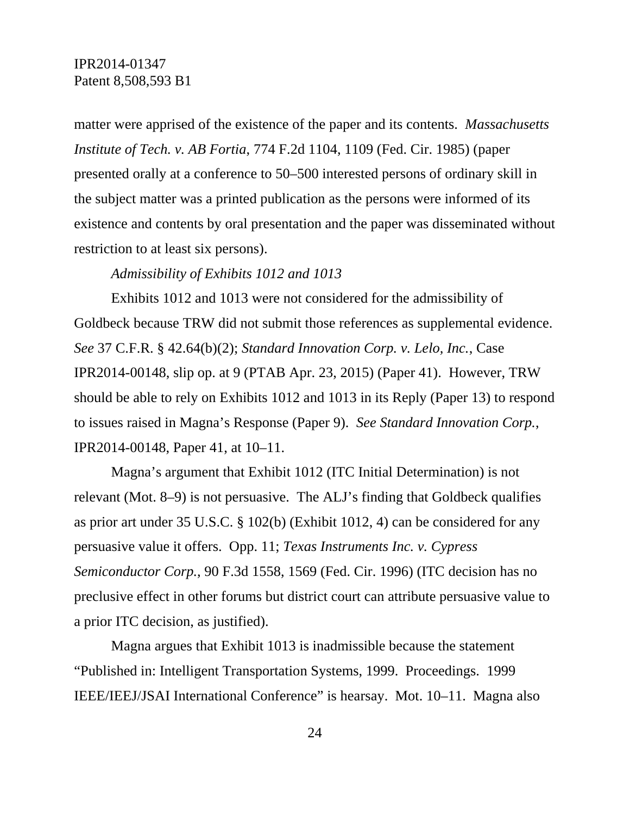matter were apprised of the existence of the paper and its contents. *Massachusetts Institute of Tech. v. AB Fortia*, 774 F.2d 1104, 1109 (Fed. Cir. 1985) (paper presented orally at a conference to 50–500 interested persons of ordinary skill in the subject matter was a printed publication as the persons were informed of its existence and contents by oral presentation and the paper was disseminated without restriction to at least six persons).

#### *Admissibility of Exhibits 1012 and 1013*

Exhibits 1012 and 1013 were not considered for the admissibility of Goldbeck because TRW did not submit those references as supplemental evidence. *See* 37 C.F.R. § 42.64(b)(2); *Standard Innovation Corp. v. Lelo, Inc.*, Case IPR2014-00148, slip op. at 9 (PTAB Apr. 23, 2015) (Paper 41). However, TRW should be able to rely on Exhibits 1012 and 1013 in its Reply (Paper 13) to respond to issues raised in Magna's Response (Paper 9). *See Standard Innovation Corp.*, IPR2014-00148, Paper 41, at 10–11.

Magna's argument that Exhibit 1012 (ITC Initial Determination) is not relevant (Mot. 8–9) is not persuasive. The ALJ's finding that Goldbeck qualifies as prior art under 35 U.S.C. § 102(b) (Exhibit 1012, 4) can be considered for any persuasive value it offers. Opp. 11; *Texas Instruments Inc. v. Cypress Semiconductor Corp.*, 90 F.3d 1558, 1569 (Fed. Cir. 1996) (ITC decision has no preclusive effect in other forums but district court can attribute persuasive value to a prior ITC decision, as justified).

Magna argues that Exhibit 1013 is inadmissible because the statement "Published in: Intelligent Transportation Systems, 1999. Proceedings. 1999 IEEE/IEEJ/JSAI International Conference" is hearsay. Mot. 10–11. Magna also